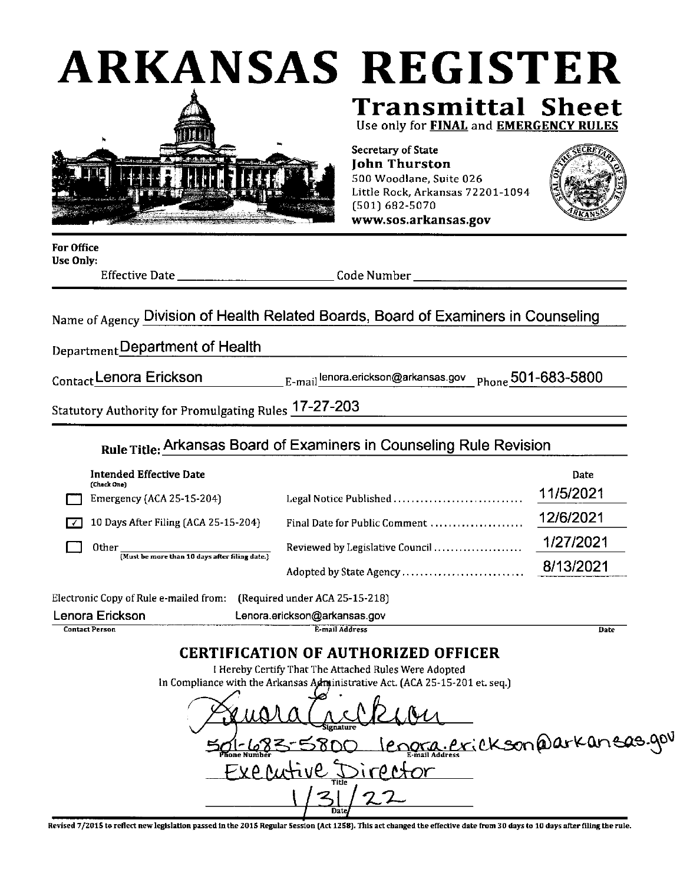# ARKANSAS REGISTER **Transmittal Sheet**



Use only for FINAL and EMERGENCY RULES **Secretary of State John Thurston** 500 Woodlane, Suite 026

Little Rock, Arkansas 72201-1094

**For Office** Use Only:

**Effective Date** 

Code Number

 $(501) 682 - 5070$ 

www.sos.arkansas.gov

Name of Agency Division of Health Related Boards, Board of Examiners in Counseling

Department Department of Health

Contact Lenora Erickson

 $_{\rm E-mail}$ lenora.erickson@arkansas.gov $_{\rm Phone}$ 501-683-5800

Statutory Authority for Promulgating Rules 17-27-203

# Rule Title: Arkansas Board of Examiners in Counseling Rule Revision

| Intended Effective Date<br>(Chack One)         |                                 | Date      |
|------------------------------------------------|---------------------------------|-----------|
| Emergency (ACA 25-15-204)                      | Legal Notice Published          | 11/5/2021 |
| 10 Days After Filing (ACA 25-15-204)           | Final Date for Public Comment   | 12/6/2021 |
| Other                                          | Reviewed by Legislative Council | 1/27/2021 |
| (Must be more than 10 days after filing date.) | Adopted by State Agency         | 8/13/2021 |

Electronic Copy of Rule e-mailed from: (Required under ACA 25-15-218)

Lenora.erickson@arkansas.gov Lenora Erickson **Contact Person** E-mail Address

**Date** 

# **CERTIFICATION OF AUTHORIZED OFFICER**

I Hereby Certify That The Attached Rules Were Adopted In Compliance with the Arkansas Administrative Act. (ACA 25-15-201 et. seq.)

800 lengra. exickson@arkaneas.gov Exerative

Revised 7/2015 to reflect new legislation passed in the 2015 Regular Session (Act 1258). This act changed the effective date from 30 days to 10 days after filing the rule.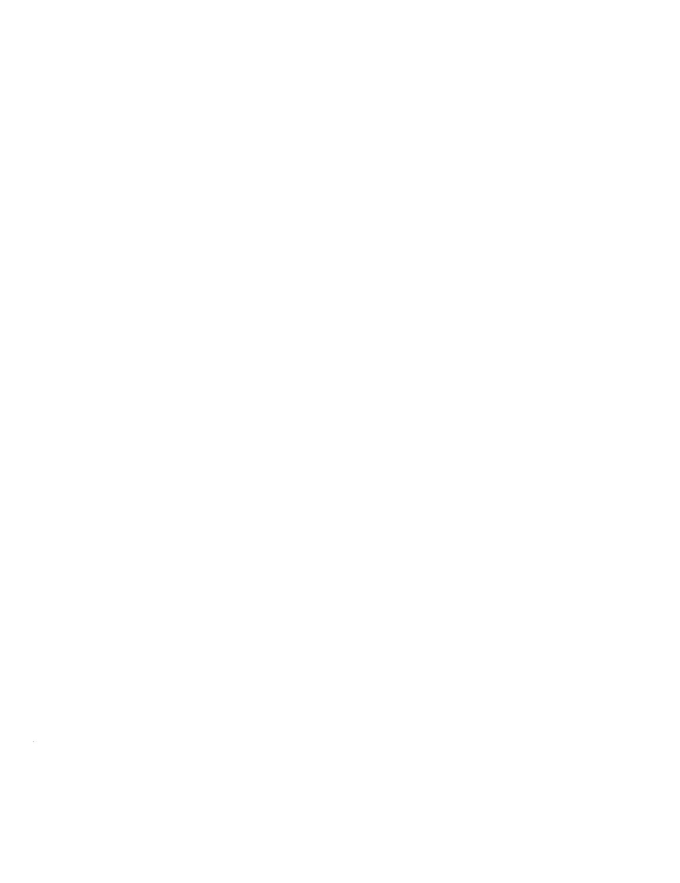$\mathcal{L}(\mathcal{A})$  and  $\mathcal{L}(\mathcal{A})$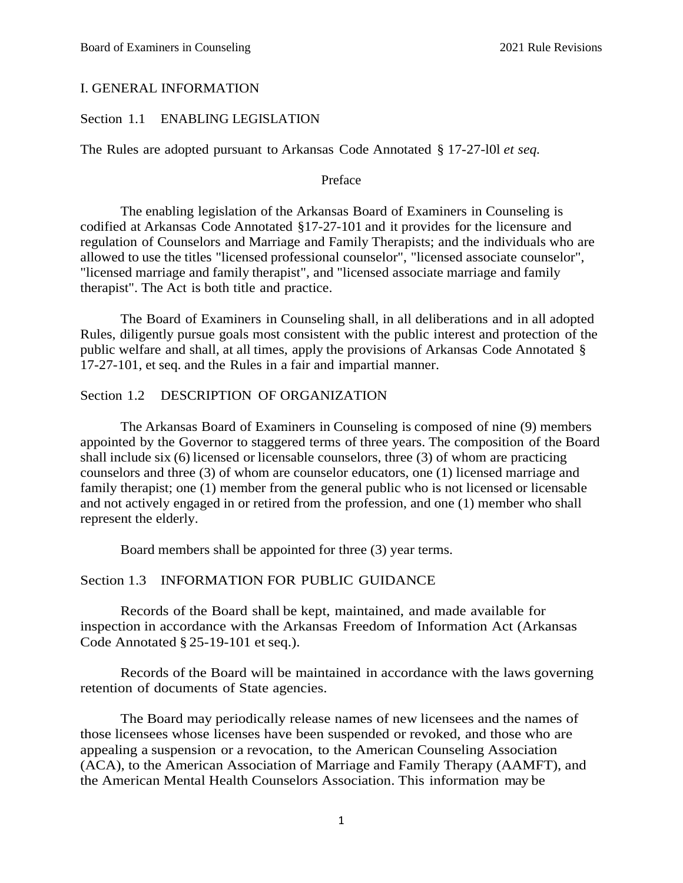#### I. GENERAL INFORMATION

#### Section 1.1 ENABLING LEGISLATION

The Rules are adopted pursuant to Arkansas Code Annotated § 17-27-l0l *et seq.*

#### Preface

The enabling legislation of the Arkansas Board of Examiners in Counseling is codified at Arkansas Code Annotated §17-27-101 and it provides for the licensure and regulation of Counselors and Marriage and Family Therapists; and the individuals who are allowed to use the titles "licensed professional counselor", "licensed associate counselor", "licensed marriage and family therapist", and "licensed associate marriage and family therapist". The Act is both title and practice.

The Board of Examiners in Counseling shall, in all deliberations and in all adopted Rules, diligently pursue goals most consistent with the public interest and protection of the public welfare and shall, at all times, apply the provisions of Arkansas Code Annotated § 17-27-101, et seq. and the Rules in a fair and impartial manner.

#### Section 1.2 DESCRIPTION OF ORGANIZATION

The Arkansas Board of Examiners in Counseling is composed of nine (9) members appointed by the Governor to staggered terms of three years. The composition of the Board shall include six (6) licensed or licensable counselors, three (3) of whom are practicing counselors and three (3) of whom are counselor educators, one (1) licensed marriage and family therapist; one (1) member from the general public who is not licensed or licensable and not actively engaged in or retired from the profession, and one (1) member who shall represent the elderly.

Board members shall be appointed for three (3) year terms.

#### Section 1.3 INFORMATION FOR PUBLIC GUIDANCE

Records of the Board shall be kept, maintained, and made available for inspection in accordance with the Arkansas Freedom of Information Act (Arkansas Code Annotated § 25-19-101 et seq.).

Records of the Board will be maintained in accordance with the laws governing retention of documents of State agencies.

The Board may periodically release names of new licensees and the names of those licensees whose licenses have been suspended or revoked, and those who are appealing a suspension or a revocation, to the American Counseling Association (ACA), to the American Association of Marriage and Family Therapy (AAMFT), and the American Mental Health Counselors Association. This information may be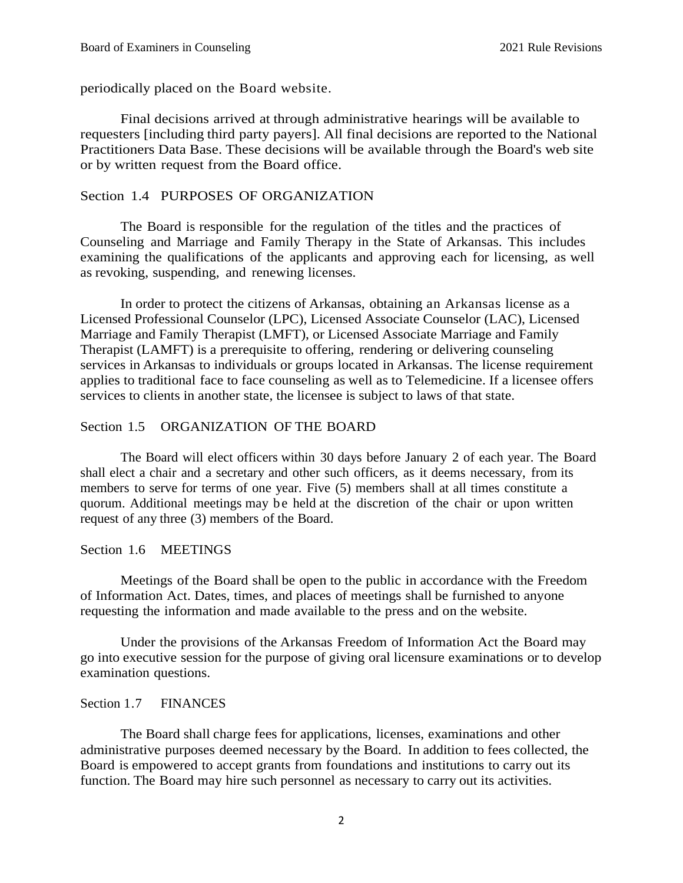periodically placed on the Board website.

Final decisions arrived at through administrative hearings will be available to requesters [including third party payers]. All final decisions are reported to the National Practitioners Data Base. These decisions will be available through the Board's web site or by written request from the Board office.

#### Section 1.4 PURPOSES OF ORGANIZATION

The Board is responsible for the regulation of the titles and the practices of Counseling and Marriage and Family Therapy in the State of Arkansas. This includes examining the qualifications of the applicants and approving each for licensing, as well as revoking, suspending, and renewing licenses.

In order to protect the citizens of Arkansas, obtaining an Arkansas license as a Licensed Professional Counselor (LPC), Licensed Associate Counselor (LAC), Licensed Marriage and Family Therapist (LMFT), or Licensed Associate Marriage and Family Therapist (LAMFT) is a prerequisite to offering, rendering or delivering counseling services in Arkansas to individuals or groups located in Arkansas. The license requirement applies to traditional face to face counseling as well as to Telemedicine. If a licensee offers services to clients in another state, the licensee is subject to laws of that state.

#### Section 1.5 ORGANIZATION OF THE BOARD

The Board will elect officers within 30 days before January 2 of each year. The Board shall elect a chair and a secretary and other such officers, as it deems necessary, from its members to serve for terms of one year. Five (5) members shall at all times constitute a quorum. Additional meetings may be held at the discretion of the chair or upon written request of any three (3) members of the Board.

#### Section 1.6 MEETINGS

Meetings of the Board shall be open to the public in accordance with the Freedom of Information Act. Dates, times, and places of meetings shall be furnished to anyone requesting the information and made available to the press and on the website.

Under the provisions of the Arkansas Freedom of Information Act the Board may go into executive session for the purpose of giving oral licensure examinations or to develop examination questions.

#### Section 1.7 FINANCES

The Board shall charge fees for applications, licenses, examinations and other administrative purposes deemed necessary by the Board. In addition to fees collected, the Board is empowered to accept grants from foundations and institutions to carry out its function. The Board may hire such personnel as necessary to carry out its activities.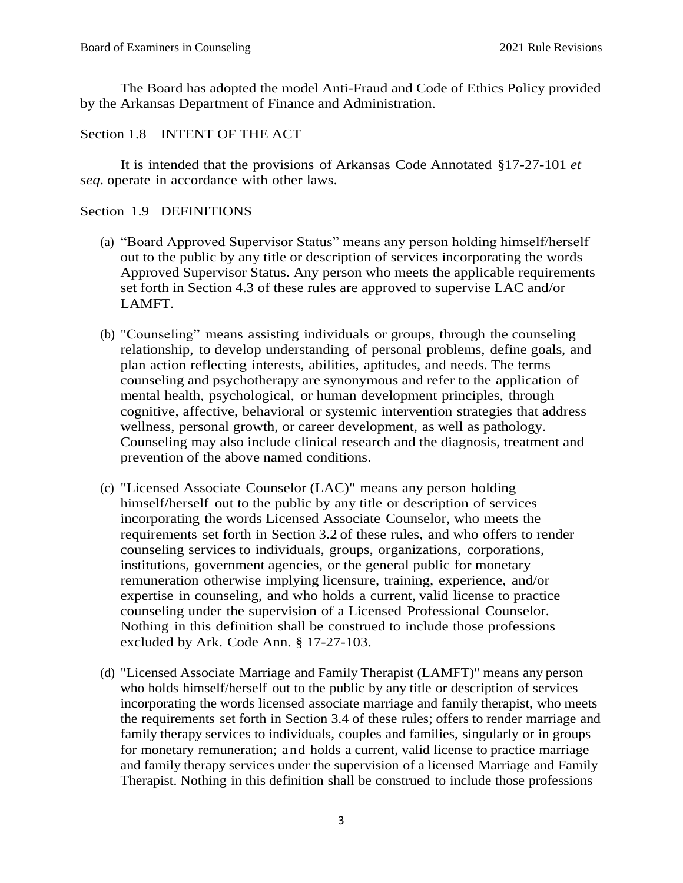The Board has adopted the model Anti-Fraud and Code of Ethics Policy provided by the Arkansas Department of Finance and Administration.

# Section 1.8 INTENT OF THE ACT

It is intended that the provisions of Arkansas Code Annotated §17-27-101 *et seq*. operate in accordance with other laws.

# Section 1.9 DEFINITIONS

- (a) "Board Approved Supervisor Status" means any person holding himself/herself out to the public by any title or description of services incorporating the words Approved Supervisor Status. Any person who meets the applicable requirements set forth in Section 4.3 of these rules are approved to supervise LAC and/or LAMFT.
- (b) "Counseling" means assisting individuals or groups, through the counseling relationship, to develop understanding of personal problems, define goals, and plan action reflecting interests, abilities, aptitudes, and needs. The terms counseling and psychotherapy are synonymous and refer to the application of mental health, psychological, or human development principles, through cognitive, affective, behavioral or systemic intervention strategies that address wellness, personal growth, or career development, as well as pathology. Counseling may also include clinical research and the diagnosis, treatment and prevention of the above named conditions.
- (c) "Licensed Associate Counselor (LAC)" means any person holding himself/herself out to the public by any title or description of services incorporating the words Licensed Associate Counselor, who meets the requirements set forth in Section 3.2 of these rules, and who offers to render counseling services to individuals, groups, organizations, corporations, institutions, government agencies, or the general public for monetary remuneration otherwise implying licensure, training, experience, and/or expertise in counseling, and who holds a current, valid license to practice counseling under the supervision of a Licensed Professional Counselor. Nothing in this definition shall be construed to include those professions excluded by Ark. Code Ann. § 17-27-103.
- (d) "Licensed Associate Marriage and Family Therapist (LAMFT)" means any person who holds himself/herself out to the public by any title or description of services incorporating the words licensed associate marriage and family therapist, who meets the requirements set forth in Section 3.4 of these rules; offers to render marriage and family therapy services to individuals, couples and families, singularly or in groups for monetary remuneration; and holds a current, valid license to practice marriage and family therapy services under the supervision of a licensed Marriage and Family Therapist. Nothing in this definition shall be construed to include those professions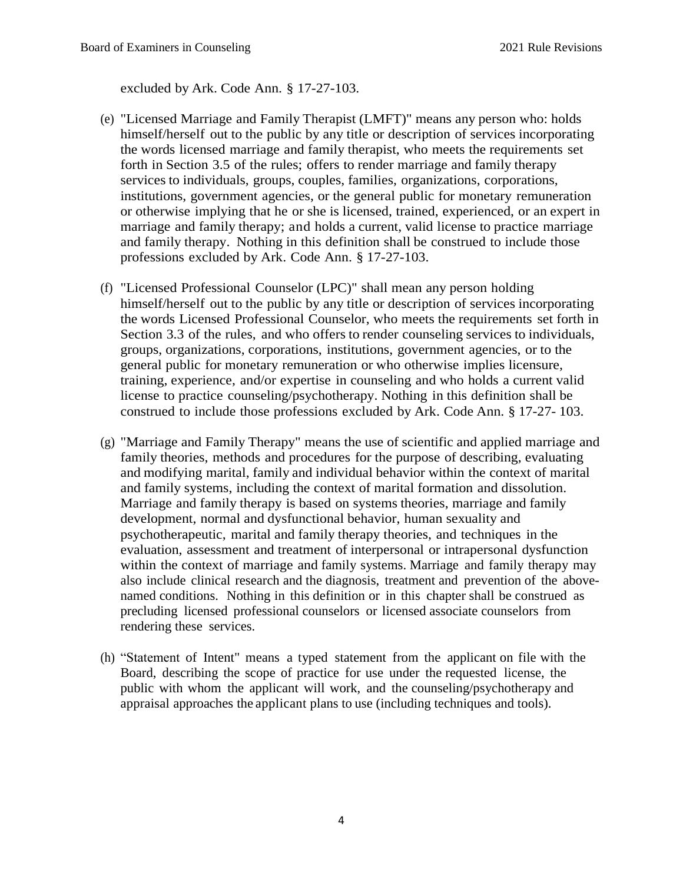excluded by Ark. Code Ann. § 17-27-103.

- (e) "Licensed Marriage and Family Therapist (LMFT)" means any person who: holds himself/herself out to the public by any title or description of services incorporating the words licensed marriage and family therapist, who meets the requirements set forth in Section 3.5 of the rules; offers to render marriage and family therapy services to individuals, groups, couples, families, organizations, corporations, institutions, government agencies, or the general public for monetary remuneration or otherwise implying that he or she is licensed, trained, experienced, or an expert in marriage and family therapy; and holds a current, valid license to practice marriage and family therapy. Nothing in this definition shall be construed to include those professions excluded by Ark. Code Ann. § 17-27-103.
- (f) "Licensed Professional Counselor (LPC)" shall mean any person holding himself/herself out to the public by any title or description of services incorporating the words Licensed Professional Counselor, who meets the requirements set forth in Section 3.3 of the rules, and who offers to render counseling services to individuals, groups, organizations, corporations, institutions, government agencies, or to the general public for monetary remuneration or who otherwise implies licensure, training, experience, and/or expertise in counseling and who holds a current valid license to practice counseling/psychotherapy. Nothing in this definition shall be construed to include those professions excluded by Ark. Code Ann. § 17-27- 103.
- (g) "Marriage and Family Therapy" means the use of scientific and applied marriage and family theories, methods and procedures for the purpose of describing, evaluating and modifying marital, family and individual behavior within the context of marital and family systems, including the context of marital formation and dissolution. Marriage and family therapy is based on systems theories, marriage and family development, normal and dysfunctional behavior, human sexuality and psychotherapeutic, marital and family therapy theories, and techniques in the evaluation, assessment and treatment of interpersonal or intrapersonal dysfunction within the context of marriage and family systems. Marriage and family therapy may also include clinical research and the diagnosis, treatment and prevention of the abovenamed conditions. Nothing in this definition or in this chapter shall be construed as precluding licensed professional counselors or licensed associate counselors from rendering these services.
- (h) "Statement of Intent" means a typed statement from the applicant on file with the Board, describing the scope of practice for use under the requested license, the public with whom the applicant will work, and the counseling/psychotherapy and appraisal approaches the applicant plans to use (including techniques and tools).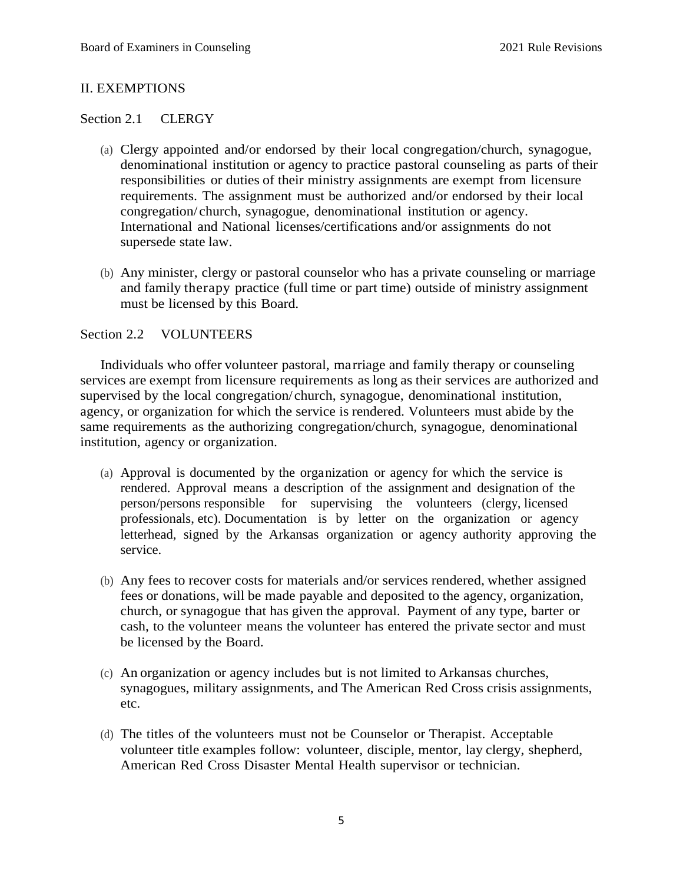## II. EXEMPTIONS

#### Section 2.1 CLERGY

- (a) Clergy appointed and/or endorsed by their local congregation/church, synagogue, denominational institution or agency to practice pastoral counseling as parts of their responsibilities or duties of their ministry assignments are exempt from licensure requirements. The assignment must be authorized and/or endorsed by their local congregation/ church, synagogue, denominational institution or agency. International and National licenses/certifications and/or assignments do not supersede state law.
- (b) Any minister, clergy or pastoral counselor who has a private counseling or marriage and family therapy practice (full time or part time) outside of ministry assignment must be licensed by this Board.

#### Section 2.2 VOLUNTEERS

Individuals who offer volunteer pastoral, marriage and family therapy or counseling services are exempt from licensure requirements as long as their services are authorized and supervised by the local congregation/ church, synagogue, denominational institution, agency, or organization for which the service is rendered. Volunteers must abide by the same requirements as the authorizing congregation/church, synagogue, denominational institution, agency or organization.

- (a) Approval is documented by the organization or agency for which the service is rendered. Approval means a description of the assignment and designation of the person/persons responsible for supervising the volunteers (clergy, licensed professionals, etc). Documentation is by letter on the organization or agency letterhead, signed by the Arkansas organization or agency authority approving the service.
- (b) Any fees to recover costs for materials and/or services rendered, whether assigned fees or donations, will be made payable and deposited to the agency, organization, church, or synagogue that has given the approval. Payment of any type, barter or cash, to the volunteer means the volunteer has entered the private sector and must be licensed by the Board.
- (c) An organization or agency includes but is not limited to Arkansas churches, synagogues, military assignments, and The American Red Cross crisis assignments, etc.
- (d) The titles of the volunteers must not be Counselor or Therapist. Acceptable volunteer title examples follow: volunteer, disciple, mentor, lay clergy, shepherd, American Red Cross Disaster Mental Health supervisor or technician.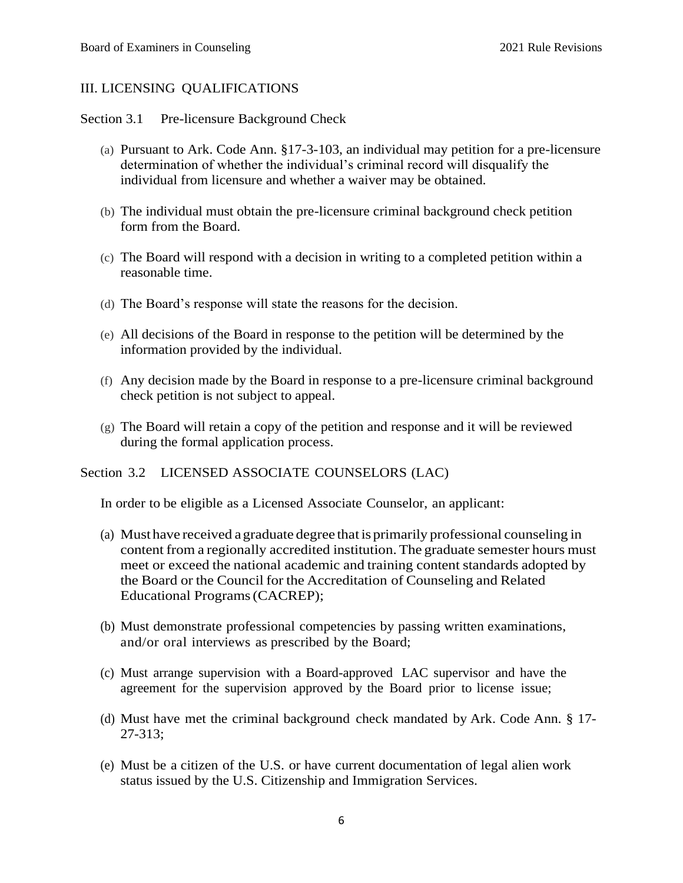# III. LICENSING QUALIFICATIONS

## Section 3.1 Pre-licensure Background Check

- (a) Pursuant to Ark. Code Ann. §17-3-103, an individual may petition for a pre-licensure determination of whether the individual's criminal record will disqualify the individual from licensure and whether a waiver may be obtained.
- (b) The individual must obtain the pre-licensure criminal background check petition form from the Board.
- (c) The Board will respond with a decision in writing to a completed petition within a reasonable time.
- (d) The Board's response will state the reasons for the decision.
- (e) All decisions of the Board in response to the petition will be determined by the information provided by the individual.
- (f) Any decision made by the Board in response to a pre-licensure criminal background check petition is not subject to appeal.
- (g) The Board will retain a copy of the petition and response and it will be reviewed during the formal application process.

# Section 3.2 LICENSED ASSOCIATE COUNSELORS (LAC)

In order to be eligible as a Licensed Associate Counselor, an applicant:

- (a) Musthave received agraduate degree that is primarily professional counseling in content from a regionally accredited institution. The graduate semester hours must meet or exceed the national academic and training content standards adopted by the Board or the Council for the Accreditation of Counseling and Related Educational Programs(CACREP);
- (b) Must demonstrate professional competencies by passing written examinations, and/or oral interviews as prescribed by the Board;
- (c) Must arrange supervision with a Board-approved LAC supervisor and have the agreement for the supervision approved by the Board prior to license issue;
- (d) Must have met the criminal background check mandated by Ark. Code Ann. § 17- 27-313;
- (e) Must be a citizen of the U.S. or have current documentation of legal alien work status issued by the U.S. Citizenship and Immigration Services.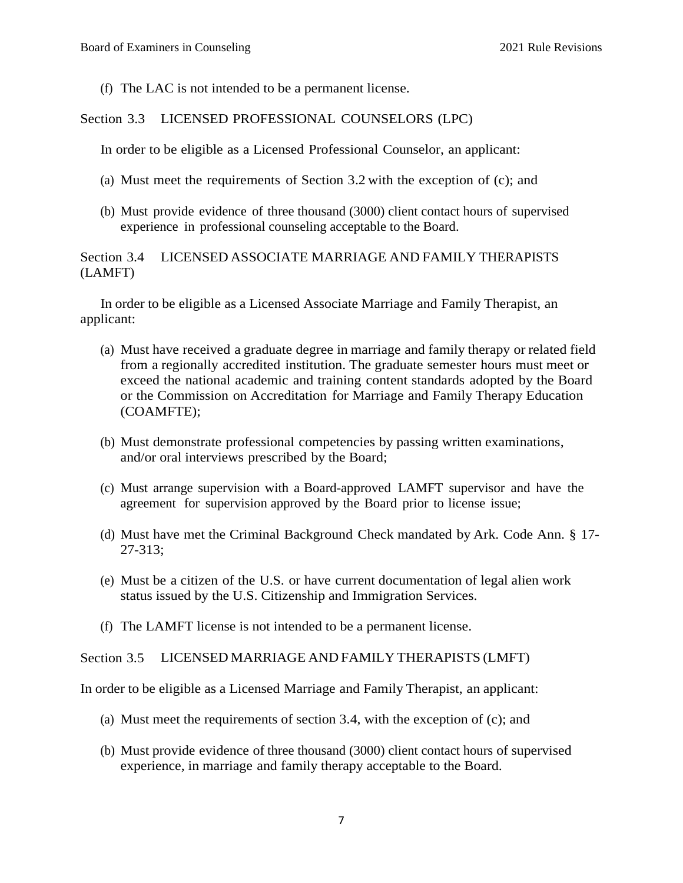(f) The LAC is not intended to be a permanent license.

# Section 3.3 LICENSED PROFESSIONAL COUNSELORS (LPC)

In order to be eligible as a Licensed Professional Counselor, an applicant:

- (a) Must meet the requirements of Section 3.2 with the exception of (c); and
- (b) Must provide evidence of three thousand (3000) client contact hours of supervised experience in professional counseling acceptable to the Board.

Section 3.4 LICENSED ASSOCIATE MARRIAGE AND FAMILY THERAPISTS (LAMFT)

In order to be eligible as a Licensed Associate Marriage and Family Therapist, an applicant:

- (a) Must have received a graduate degree in marriage and family therapy or related field from a regionally accredited institution. The graduate semester hours must meet or exceed the national academic and training content standards adopted by the Board or the Commission on Accreditation for Marriage and Family Therapy Education (COAMFTE);
- (b) Must demonstrate professional competencies by passing written examinations, and/or oral interviews prescribed by the Board;
- (c) Must arrange supervision with a Board-approved LAMFT supervisor and have the agreement for supervision approved by the Board prior to license issue;
- (d) Must have met the Criminal Background Check mandated by Ark. Code Ann. § 17- 27-313;
- (e) Must be a citizen of the U.S. or have current documentation of legal alien work status issued by the U.S. Citizenship and Immigration Services.
- (f) The LAMFT license is not intended to be a permanent license.

# Section 3.5 LICENSED MARRIAGE AND FAMILY THERAPISTS (LMFT)

In order to be eligible as a Licensed Marriage and Family Therapist, an applicant:

- (a) Must meet the requirements of section 3.4, with the exception of (c); and
- (b) Must provide evidence of three thousand (3000) client contact hours of supervised experience, in marriage and family therapy acceptable to the Board.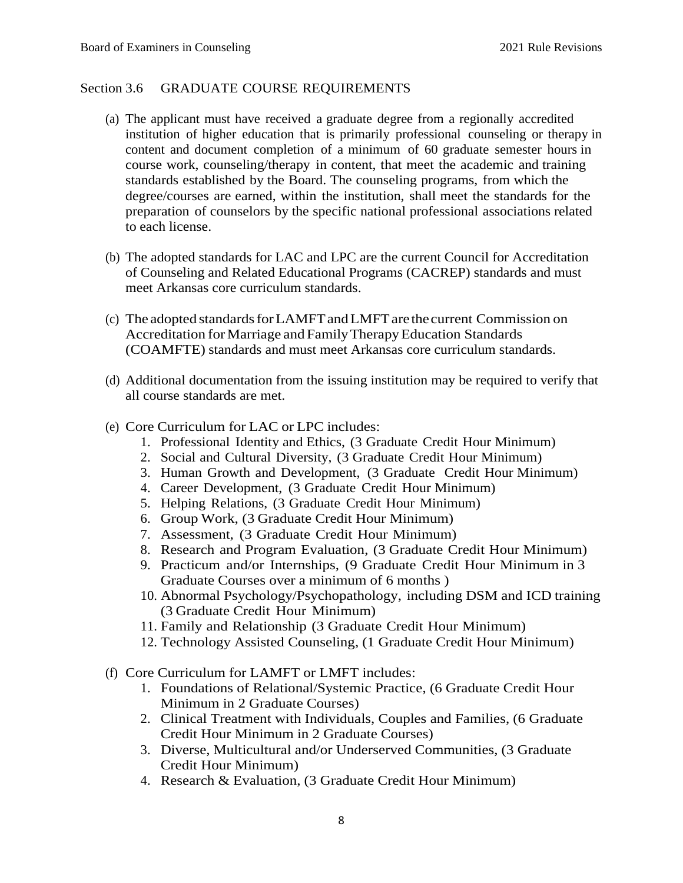# Section 3.6 GRADUATE COURSE REQUIREMENTS

- (a) The applicant must have received a graduate degree from a regionally accredited institution of higher education that is primarily professional counseling or therapy in content and document completion of a minimum of 60 graduate semester hours in course work, counseling/therapy in content, that meet the academic and training standards established by the Board. The counseling programs, from which the degree/courses are earned, within the institution, shall meet the standards for the preparation of counselors by the specific national professional associations related to each license.
- (b) The adopted standards for LAC and LPC are the current Council for Accreditation of Counseling and Related Educational Programs (CACREP) standards and must meet Arkansas core curriculum standards.
- (c) The adopted standards for LAMFT and LMFT are the current Commission on Accreditation for Marriage and Family Therapy Education Standards (COAMFTE) standards and must meet Arkansas core curriculum standards.
- (d) Additional documentation from the issuing institution may be required to verify that all course standards are met.
- (e) Core Curriculum for LAC or LPC includes:
	- 1. Professional Identity and Ethics, (3 Graduate Credit Hour Minimum)
	- 2. Social and Cultural Diversity, (3 Graduate Credit Hour Minimum)
	- 3. Human Growth and Development, (3 Graduate Credit Hour Minimum)
	- 4. Career Development, (3 Graduate Credit Hour Minimum)
	- 5. Helping Relations, (3 Graduate Credit Hour Minimum)
	- 6. Group Work, (3 Graduate Credit Hour Minimum)
	- 7. Assessment, (3 Graduate Credit Hour Minimum)
	- 8. Research and Program Evaluation, (3 Graduate Credit Hour Minimum)
	- 9. Practicum and/or Internships, (9 Graduate Credit Hour Minimum in 3 Graduate Courses over a minimum of 6 months )
	- 10. Abnormal Psychology/Psychopathology, including DSM and ICD training (3 Graduate Credit Hour Minimum)
	- 11. Family and Relationship (3 Graduate Credit Hour Minimum)
	- 12. Technology Assisted Counseling, (1 Graduate Credit Hour Minimum)
- (f) Core Curriculum for LAMFT or LMFT includes:
	- 1. Foundations of Relational/Systemic Practice, (6 Graduate Credit Hour Minimum in 2 Graduate Courses)
	- 2. Clinical Treatment with Individuals, Couples and Families, (6 Graduate Credit Hour Minimum in 2 Graduate Courses)
	- 3. Diverse, Multicultural and/or Underserved Communities, (3 Graduate Credit Hour Minimum)
	- 4. Research & Evaluation, (3 Graduate Credit Hour Minimum)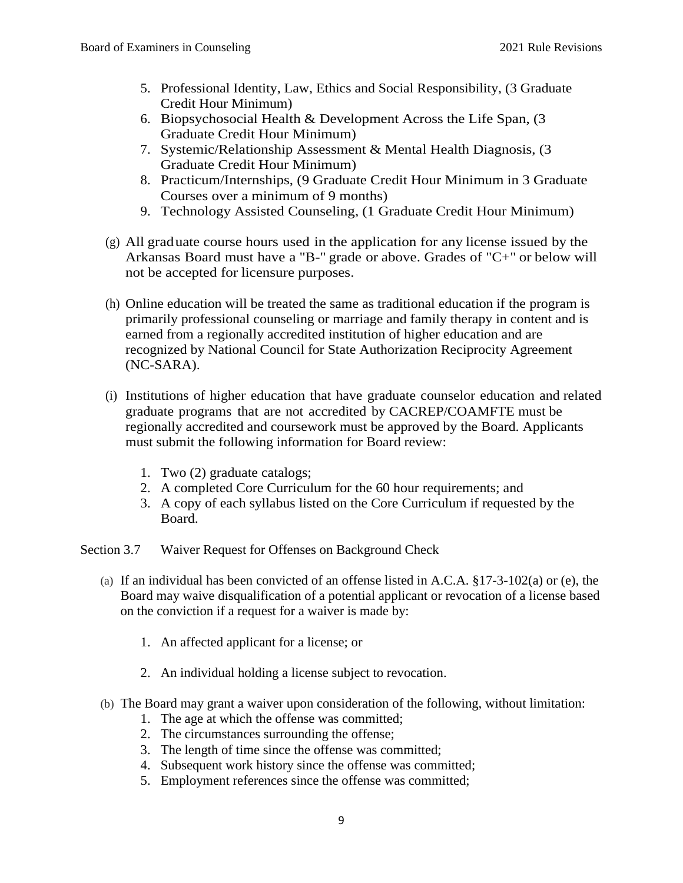- 5. Professional Identity, Law, Ethics and Social Responsibility, (3 Graduate Credit Hour Minimum)
- 6. Biopsychosocial Health & Development Across the Life Span, (3 Graduate Credit Hour Minimum)
- 7. Systemic/Relationship Assessment & Mental Health Diagnosis, (3 Graduate Credit Hour Minimum)
- 8. Practicum/Internships, (9 Graduate Credit Hour Minimum in 3 Graduate Courses over a minimum of 9 months)
- 9. Technology Assisted Counseling, (1 Graduate Credit Hour Minimum)
- (g) All graduate course hours used in the application for any license issued by the Arkansas Board must have a "B-" grade or above. Grades of "C+" or below will not be accepted for licensure purposes.
- (h) Online education will be treated the same as traditional education if the program is primarily professional counseling or marriage and family therapy in content and is earned from a regionally accredited institution of higher education and are recognized by National Council for State Authorization Reciprocity Agreement (NC-SARA).
- (i) Institutions of higher education that have graduate counselor education and related graduate programs that are not accredited by CACREP/COAMFTE must be regionally accredited and coursework must be approved by the Board. Applicants must submit the following information for Board review:
	- 1. Two (2) graduate catalogs;
	- 2. A completed Core Curriculum for the 60 hour requirements; and
	- 3. A copy of each syllabus listed on the Core Curriculum if requested by the Board.

Section 3.7 Waiver Request for Offenses on Background Check

- (a) If an individual has been convicted of an offense listed in A.C.A. §17-3-102(a) or (e), the Board may waive disqualification of a potential applicant or revocation of a license based on the conviction if a request for a waiver is made by:
	- 1. An affected applicant for a license; or
	- 2. An individual holding a license subject to revocation.
- (b) The Board may grant a waiver upon consideration of the following, without limitation:
	- 1. The age at which the offense was committed;
	- 2. The circumstances surrounding the offense;
	- 3. The length of time since the offense was committed;
	- 4. Subsequent work history since the offense was committed;
	- 5. Employment references since the offense was committed;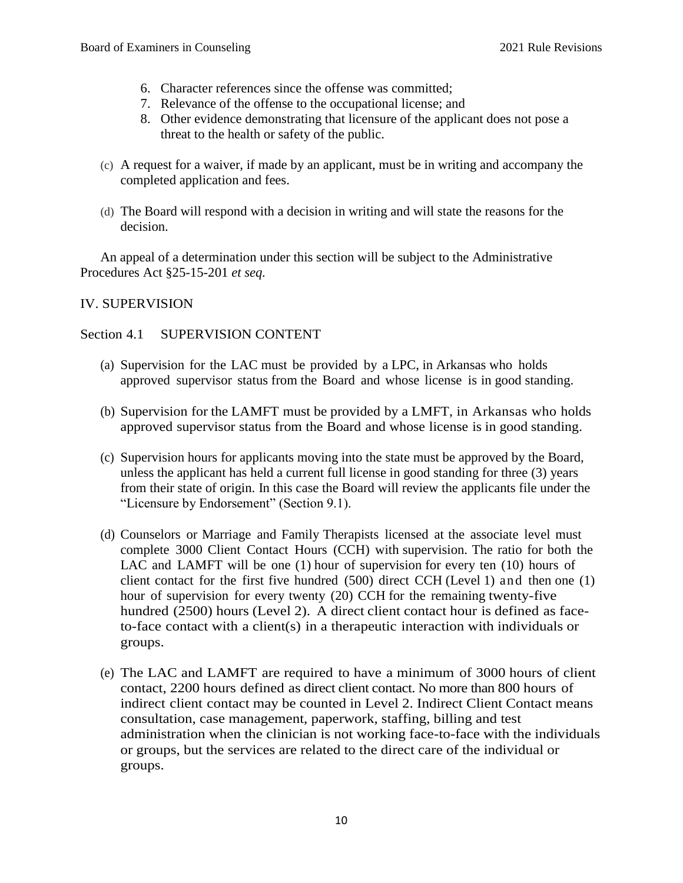- 6. Character references since the offense was committed;
- 7. Relevance of the offense to the occupational license; and
- 8. Other evidence demonstrating that licensure of the applicant does not pose a threat to the health or safety of the public.
- (c) A request for a waiver, if made by an applicant, must be in writing and accompany the completed application and fees.
- (d) The Board will respond with a decision in writing and will state the reasons for the decision.

An appeal of a determination under this section will be subject to the Administrative Procedures Act §25-15-201 *et seq.*

# IV. SUPERVISION

# Section 4.1 SUPERVISION CONTENT

- (a) Supervision for the LAC must be provided by a LPC, in Arkansas who holds approved supervisor status from the Board and whose license is in good standing.
- (b) Supervision for the LAMFT must be provided by a LMFT, in Arkansas who holds approved supervisor status from the Board and whose license is in good standing.
- (c) Supervision hours for applicants moving into the state must be approved by the Board, unless the applicant has held a current full license in good standing for three (3) years from their state of origin. In this case the Board will review the applicants file under the "Licensure by Endorsement" (Section 9.1).
- (d) Counselors or Marriage and Family Therapists licensed at the associate level must complete 3000 Client Contact Hours (CCH) with supervision. The ratio for both the LAC and LAMFT will be one (1) hour of supervision for every ten (10) hours of client contact for the first five hundred (500) direct CCH (Level 1) and then one (1) hour of supervision for every twenty (20) CCH for the remaining twenty-five hundred (2500) hours (Level 2). A direct client contact hour is defined as faceto-face contact with a client(s) in a therapeutic interaction with individuals or groups.
- (e) The LAC and LAMFT are required to have a minimum of 3000 hours of client contact, 2200 hours defined as direct client contact. No more than 800 hours of indirect client contact may be counted in Level 2. Indirect Client Contact means consultation, case management, paperwork, staffing, billing and test administration when the clinician is not working face-to-face with the individuals or groups, but the services are related to the direct care of the individual or groups.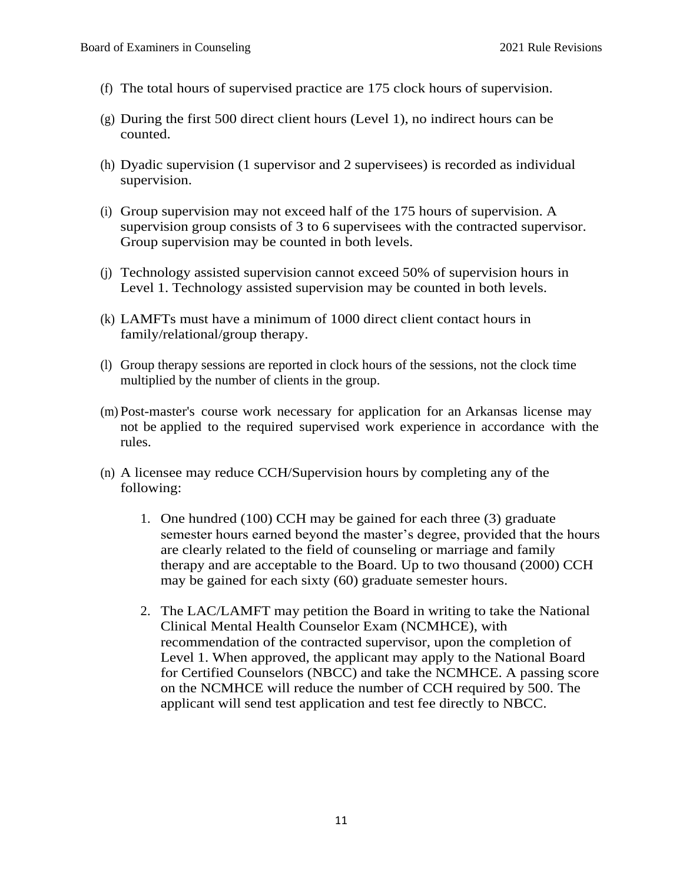- (f) The total hours of supervised practice are 175 clock hours of supervision.
- (g) During the first 500 direct client hours (Level 1), no indirect hours can be counted.
- (h) Dyadic supervision (1 supervisor and 2 supervisees) is recorded as individual supervision.
- (i) Group supervision may not exceed half of the 175 hours of supervision. A supervision group consists of 3 to 6 supervisees with the contracted supervisor. Group supervision may be counted in both levels.
- (j) Technology assisted supervision cannot exceed 50% of supervision hours in Level 1. Technology assisted supervision may be counted in both levels.
- (k) LAMFTs must have a minimum of 1000 direct client contact hours in family/relational/group therapy.
- (l) Group therapy sessions are reported in clock hours of the sessions, not the clock time multiplied by the number of clients in the group.
- (m) Post-master's course work necessary for application for an Arkansas license may not be applied to the required supervised work experience in accordance with the rules.
- (n) A licensee may reduce CCH/Supervision hours by completing any of the following:
	- 1. One hundred (100) CCH may be gained for each three (3) graduate semester hours earned beyond the master's degree, provided that the hours are clearly related to the field of counseling or marriage and family therapy and are acceptable to the Board. Up to two thousand (2000) CCH may be gained for each sixty (60) graduate semester hours.
	- 2. The LAC/LAMFT may petition the Board in writing to take the National Clinical Mental Health Counselor Exam (NCMHCE), with recommendation of the contracted supervisor, upon the completion of Level 1. When approved, the applicant may apply to the National Board for Certified Counselors (NBCC) and take the NCMHCE. A passing score on the NCMHCE will reduce the number of CCH required by 500. The applicant will send test application and test fee directly to NBCC.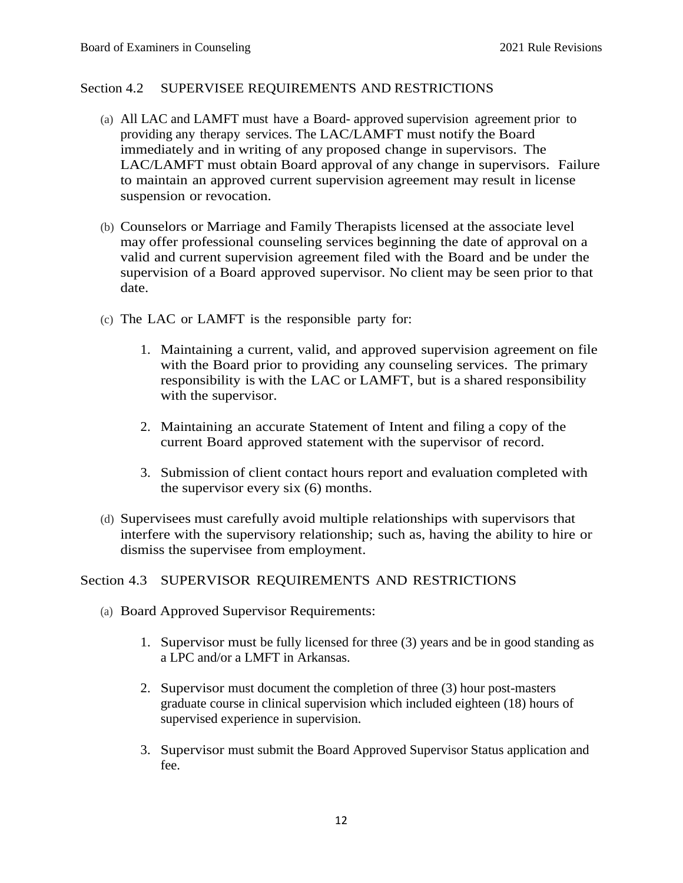# Section 4.2 SUPERVISEE REQUIREMENTS AND RESTRICTIONS

- (a) All LAC and LAMFT must have a Board- approved supervision agreement prior to providing any therapy services. The LAC/LAMFT must notify the Board immediately and in writing of any proposed change in supervisors. The LAC/LAMFT must obtain Board approval of any change in supervisors. Failure to maintain an approved current supervision agreement may result in license suspension or revocation.
- (b) Counselors or Marriage and Family Therapists licensed at the associate level may offer professional counseling services beginning the date of approval on a valid and current supervision agreement filed with the Board and be under the supervision of a Board approved supervisor. No client may be seen prior to that date.
- (c) The LAC or LAMFT is the responsible party for:
	- 1. Maintaining a current, valid, and approved supervision agreement on file with the Board prior to providing any counseling services. The primary responsibility is with the LAC or LAMFT, but is a shared responsibility with the supervisor.
	- 2. Maintaining an accurate Statement of Intent and filing a copy of the current Board approved statement with the supervisor of record.
	- 3. Submission of client contact hours report and evaluation completed with the supervisor every six (6) months.
- (d) Supervisees must carefully avoid multiple relationships with supervisors that interfere with the supervisory relationship; such as, having the ability to hire or dismiss the supervisee from employment.

# Section 4.3 SUPERVISOR REQUIREMENTS AND RESTRICTIONS

- (a) Board Approved Supervisor Requirements:
	- 1. Supervisor must be fully licensed for three (3) years and be in good standing as a LPC and/or a LMFT in Arkansas.
	- 2. Supervisor must document the completion of three (3) hour post-masters graduate course in clinical supervision which included eighteen (18) hours of supervised experience in supervision.
	- 3. Supervisor must submit the Board Approved Supervisor Status application and fee.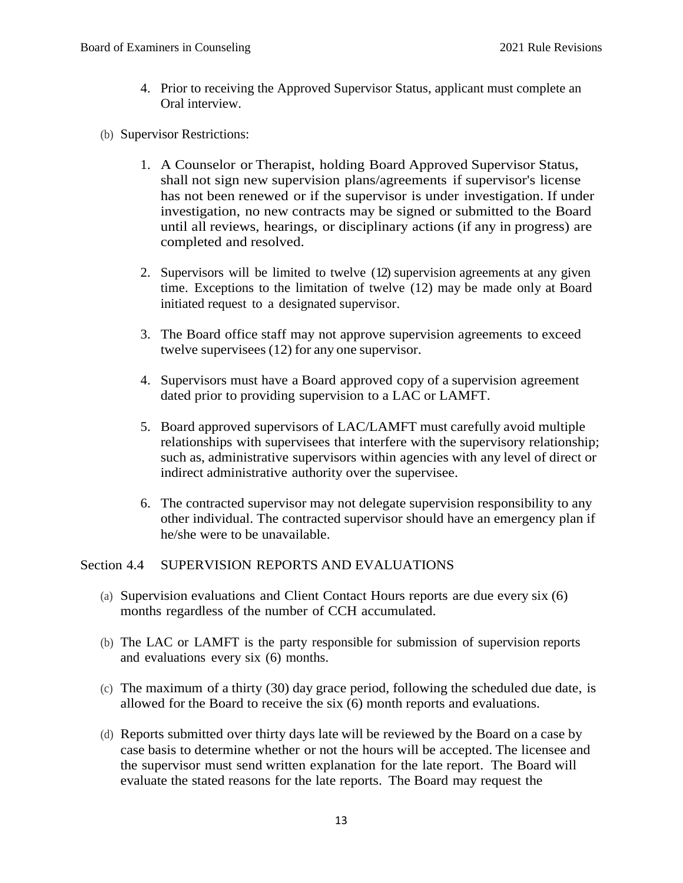- 4. Prior to receiving the Approved Supervisor Status, applicant must complete an Oral interview.
- (b) Supervisor Restrictions:
	- 1. A Counselor or Therapist, holding Board Approved Supervisor Status, shall not sign new supervision plans/agreements if supervisor's license has not been renewed or if the supervisor is under investigation. If under investigation, no new contracts may be signed or submitted to the Board until all reviews, hearings, or disciplinary actions (if any in progress) are completed and resolved.
	- 2. Supervisors will be limited to twelve (12) supervision agreements at any given time. Exceptions to the limitation of twelve (12) may be made only at Board initiated request to a designated supervisor.
	- 3. The Board office staff may not approve supervision agreements to exceed twelve supervisees (12) for any one supervisor.
	- 4. Supervisors must have a Board approved copy of a supervision agreement dated prior to providing supervision to a LAC or LAMFT.
	- 5. Board approved supervisors of LAC/LAMFT must carefully avoid multiple relationships with supervisees that interfere with the supervisory relationship; such as, administrative supervisors within agencies with any level of direct or indirect administrative authority over the supervisee.
	- 6. The contracted supervisor may not delegate supervision responsibility to any other individual. The contracted supervisor should have an emergency plan if he/she were to be unavailable.

#### Section 4.4 SUPERVISION REPORTS AND EVALUATIONS

- (a) Supervision evaluations and Client Contact Hours reports are due every six (6) months regardless of the number of CCH accumulated.
- (b) The LAC or LAMFT is the party responsible for submission of supervision reports and evaluations every six (6) months.
- (c) The maximum of a thirty (30) day grace period, following the scheduled due date, is allowed for the Board to receive the six (6) month reports and evaluations.
- (d) Reports submitted over thirty days late will be reviewed by the Board on a case by case basis to determine whether or not the hours will be accepted. The licensee and the supervisor must send written explanation for the late report. The Board will evaluate the stated reasons for the late reports. The Board may request the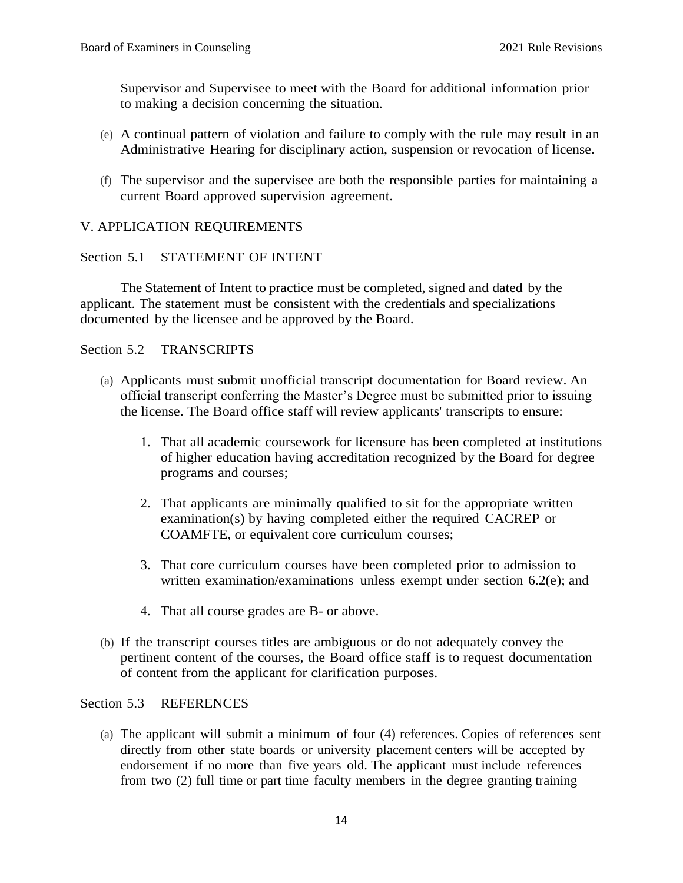Supervisor and Supervisee to meet with the Board for additional information prior to making a decision concerning the situation.

- (e) A continual pattern of violation and failure to comply with the rule may result in an Administrative Hearing for disciplinary action, suspension or revocation of license.
- (f) The supervisor and the supervisee are both the responsible parties for maintaining a current Board approved supervision agreement.

# V. APPLICATION REQUIREMENTS

#### Section 5.1 STATEMENT OF INTENT

The Statement of Intent to practice must be completed, signed and dated by the applicant. The statement must be consistent with the credentials and specializations documented by the licensee and be approved by the Board.

#### Section 5.2 TRANSCRIPTS

- (a) Applicants must submit unofficial transcript documentation for Board review. An official transcript conferring the Master's Degree must be submitted prior to issuing the license. The Board office staff will review applicants' transcripts to ensure:
	- 1. That all academic coursework for licensure has been completed at institutions of higher education having accreditation recognized by the Board for degree programs and courses;
	- 2. That applicants are minimally qualified to sit for the appropriate written examination(s) by having completed either the required CACREP or COAMFTE, or equivalent core curriculum courses;
	- 3. That core curriculum courses have been completed prior to admission to written examination/examinations unless exempt under section 6.2(e); and
	- 4. That all course grades are B- or above.
- (b) If the transcript courses titles are ambiguous or do not adequately convey the pertinent content of the courses, the Board office staff is to request documentation of content from the applicant for clarification purposes.

#### Section 5.3 REFERENCES

(a) The applicant will submit a minimum of four (4) references. Copies of references sent directly from other state boards or university placement centers will be accepted by endorsement if no more than five years old. The applicant must include references from two (2) full time or part time faculty members in the degree granting training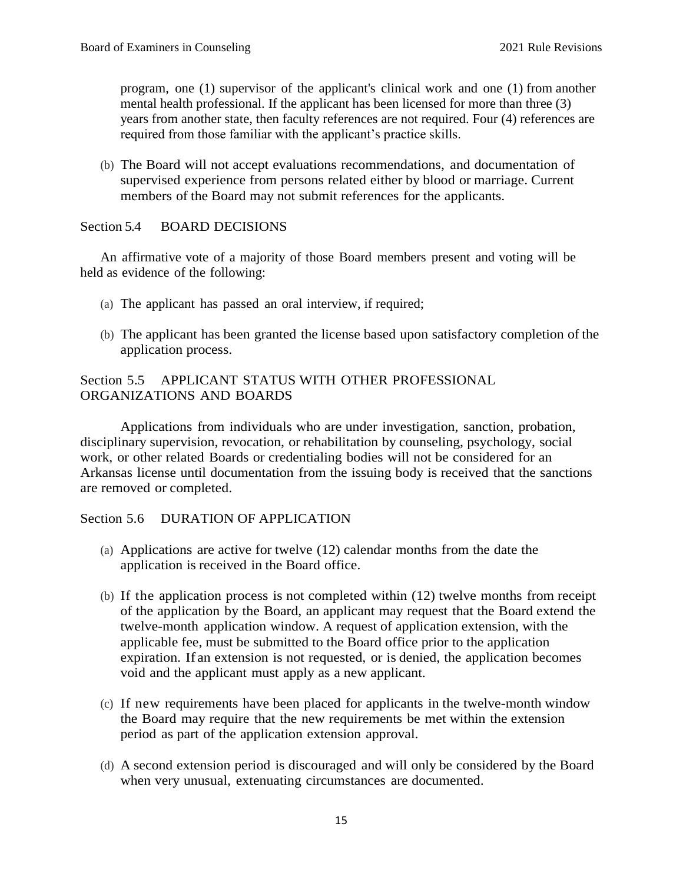program, one (1) supervisor of the applicant's clinical work and one (1) from another mental health professional. If the applicant has been licensed for more than three (3) years from another state, then faculty references are not required. Four (4) references are required from those familiar with the applicant's practice skills.

(b) The Board will not accept evaluations recommendations, and documentation of supervised experience from persons related either by blood or marriage. Current members of the Board may not submit references for the applicants.

### Section 5.4 BOARD DECISIONS

An affirmative vote of a majority of those Board members present and voting will be held as evidence of the following:

- (a) The applicant has passed an oral interview, if required;
- (b) The applicant has been granted the license based upon satisfactory completion of the application process.

# Section 5.5 APPLICANT STATUS WITH OTHER PROFESSIONAL ORGANIZATIONS AND BOARDS

Applications from individuals who are under investigation, sanction, probation, disciplinary supervision, revocation, or rehabilitation by counseling, psychology, social work, or other related Boards or credentialing bodies will not be considered for an Arkansas license until documentation from the issuing body is received that the sanctions are removed or completed.

#### Section 5.6 DURATION OF APPLICATION

- (a) Applications are active for twelve (12) calendar months from the date the application is received in the Board office.
- (b) If the application process is not completed within (12) twelve months from receipt of the application by the Board, an applicant may request that the Board extend the twelve-month application window. A request of application extension, with the applicable fee, must be submitted to the Board office prior to the application expiration. If an extension is not requested, or is denied, the application becomes void and the applicant must apply as a new applicant.
- (c) If new requirements have been placed for applicants in the twelve-month window the Board may require that the new requirements be met within the extension period as part of the application extension approval.
- (d) A second extension period is discouraged and will only be considered by the Board when very unusual, extenuating circumstances are documented.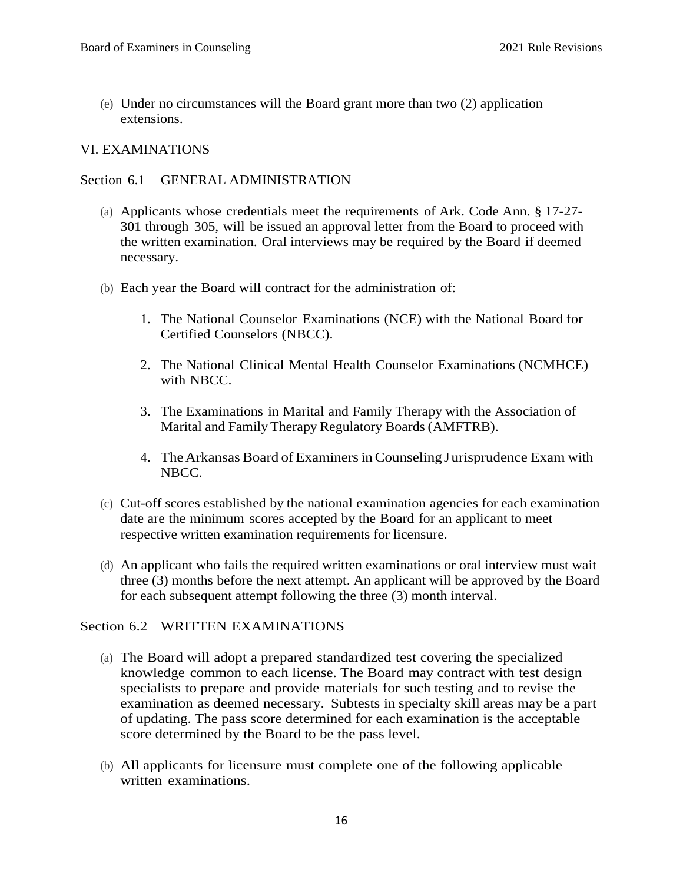(e) Under no circumstances will the Board grant more than two (2) application extensions.

# VI. EXAMINATIONS

## Section 6.1 GENERAL ADMINISTRATION

- (a) Applicants whose credentials meet the requirements of Ark. Code Ann. § 17-27- 301 through 305, will be issued an approval letter from the Board to proceed with the written examination. Oral interviews may be required by the Board if deemed necessary.
- (b) Each year the Board will contract for the administration of:
	- 1. The National Counselor Examinations (NCE) with the National Board for Certified Counselors (NBCC).
	- 2. The National Clinical Mental Health Counselor Examinations (NCMHCE) with NBCC.
	- 3. The Examinations in Marital and Family Therapy with the Association of Marital and Family Therapy Regulatory Boards (AMFTRB).
	- 4. The Arkansas Board of Examiners in Counseling Jurisprudence Exam with NBCC.
- (c) Cut-off scores established by the national examination agencies for each examination date are the minimum scores accepted by the Board for an applicant to meet respective written examination requirements for licensure.
- (d) An applicant who fails the required written examinations or oral interview must wait three (3) months before the next attempt. An applicant will be approved by the Board for each subsequent attempt following the three (3) month interval.

#### Section 6.2 WRITTEN EXAMINATIONS

- (a) The Board will adopt a prepared standardized test covering the specialized knowledge common to each license. The Board may contract with test design specialists to prepare and provide materials for such testing and to revise the examination as deemed necessary. Subtests in specialty skill areas may be a part of updating. The pass score determined for each examination is the acceptable score determined by the Board to be the pass level.
- (b) All applicants for licensure must complete one of the following applicable written examinations.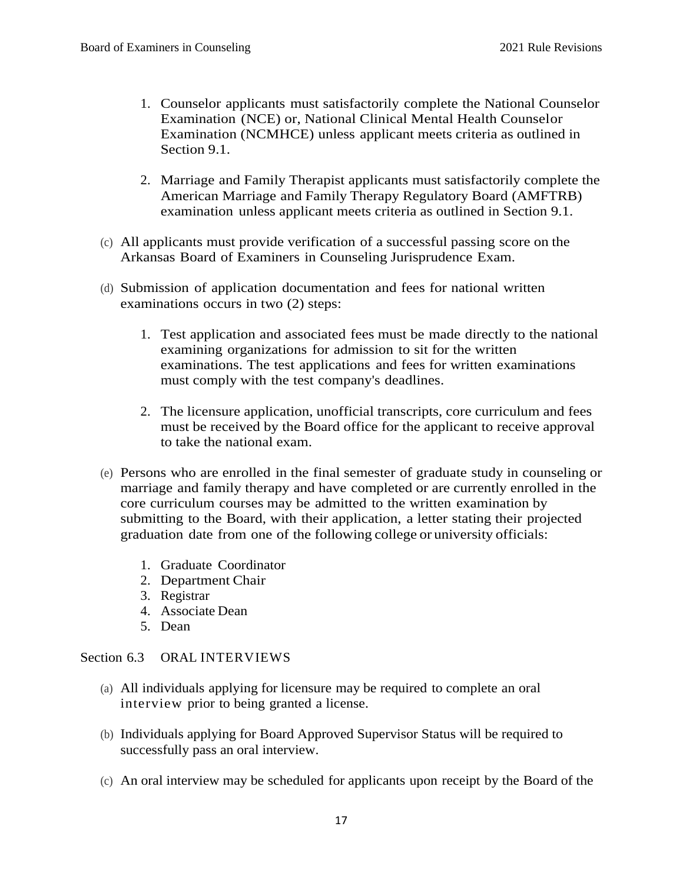- 1. Counselor applicants must satisfactorily complete the National Counselor Examination (NCE) or, National Clinical Mental Health Counselor Examination (NCMHCE) unless applicant meets criteria as outlined in Section 9.1.
- 2. Marriage and Family Therapist applicants must satisfactorily complete the American Marriage and Family Therapy Regulatory Board (AMFTRB) examination unless applicant meets criteria as outlined in Section 9.1.
- (c) All applicants must provide verification of a successful passing score on the Arkansas Board of Examiners in Counseling Jurisprudence Exam.
- (d) Submission of application documentation and fees for national written examinations occurs in two (2) steps:
	- 1. Test application and associated fees must be made directly to the national examining organizations for admission to sit for the written examinations. The test applications and fees for written examinations must comply with the test company's deadlines.
	- 2. The licensure application, unofficial transcripts, core curriculum and fees must be received by the Board office for the applicant to receive approval to take the national exam.
- (e) Persons who are enrolled in the final semester of graduate study in counseling or marriage and family therapy and have completed or are currently enrolled in the core curriculum courses may be admitted to the written examination by submitting to the Board, with their application, a letter stating their projected graduation date from one of the following college or university officials:
	- 1. Graduate Coordinator
	- 2. Department Chair
	- 3. Registrar
	- 4. Associate Dean
	- 5. Dean

# Section 6.3 ORAL INTERVIEWS

- (a) All individuals applying for licensure may be required to complete an oral interview prior to being granted a license.
- (b) Individuals applying for Board Approved Supervisor Status will be required to successfully pass an oral interview.
- (c) An oral interview may be scheduled for applicants upon receipt by the Board of the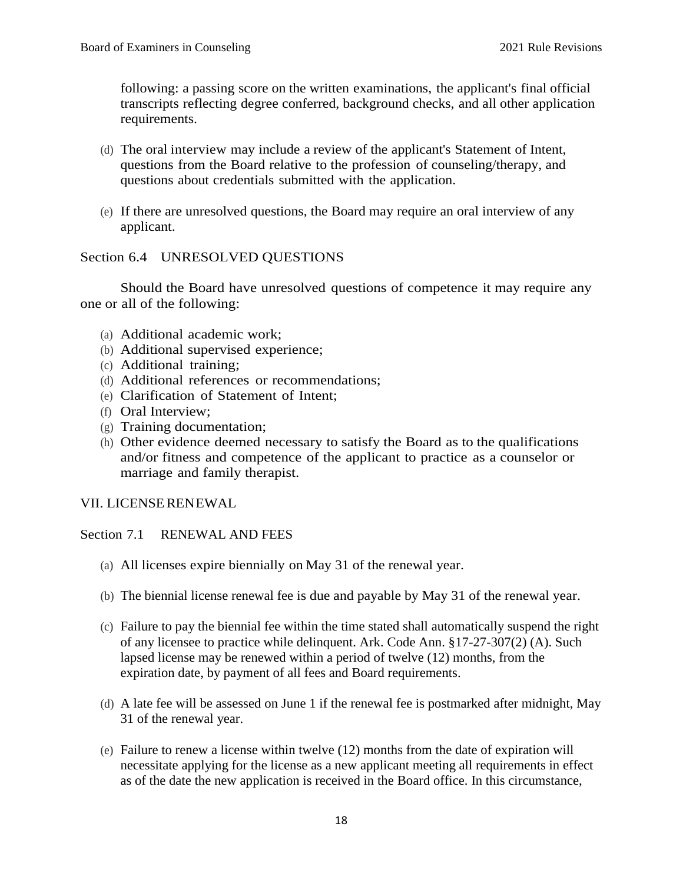following: a passing score on the written examinations, the applicant's final official transcripts reflecting degree conferred, background checks, and all other application requirements.

- (d) The oral interview may include a review of the applicant's Statement of Intent, questions from the Board relative to the profession of counseling/therapy, and questions about credentials submitted with the application.
- (e) If there are unresolved questions, the Board may require an oral interview of any applicant.

# Section 6.4 UNRESOLVED QUESTIONS

Should the Board have unresolved questions of competence it may require any one or all of the following:

- (a) Additional academic work;
- (b) Additional supervised experience;
- (c) Additional training;
- (d) Additional references or recommendations;
- (e) Clarification of Statement of Intent;
- (f) Oral Interview;
- (g) Training documentation;
- (h) Other evidence deemed necessary to satisfy the Board as to the qualifications and/or fitness and competence of the applicant to practice as a counselor or marriage and family therapist.

#### VII. LICENSERENEWAL

#### Section 7.1 RENEWAL AND FEES

- (a) All licenses expire biennially on May 31 of the renewal year.
- (b) The biennial license renewal fee is due and payable by May 31 of the renewal year.
- (c) Failure to pay the biennial fee within the time stated shall automatically suspend the right of any licensee to practice while delinquent. Ark. Code Ann. §17-27-307(2) (A). Such lapsed license may be renewed within a period of twelve (12) months, from the expiration date, by payment of all fees and Board requirements.
- (d) A late fee will be assessed on June 1 if the renewal fee is postmarked after midnight, May 31 of the renewal year.
- (e) Failure to renew a license within twelve (12) months from the date of expiration will necessitate applying for the license as a new applicant meeting all requirements in effect as of the date the new application is received in the Board office. In this circumstance,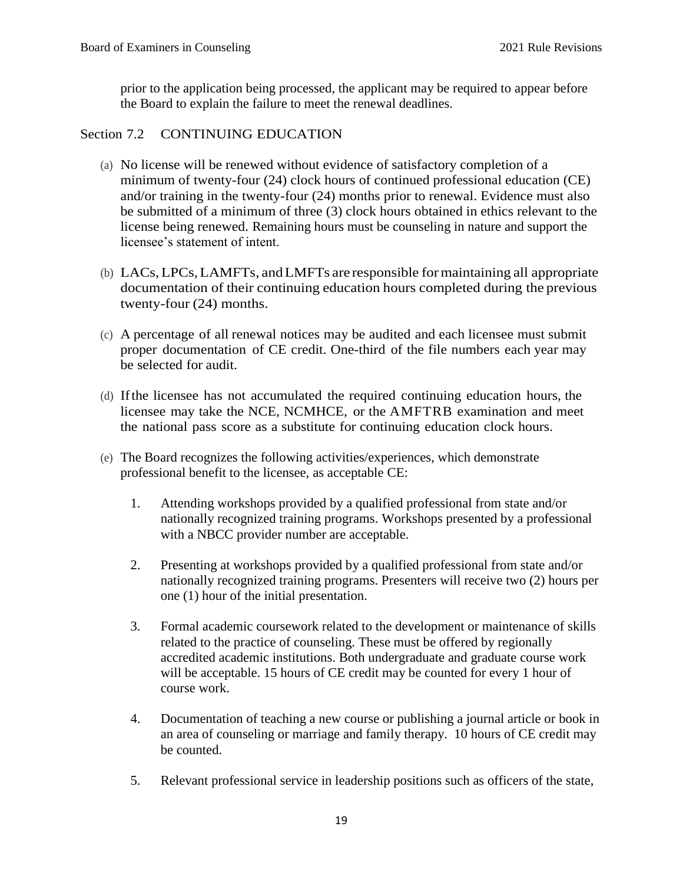prior to the application being processed, the applicant may be required to appear before the Board to explain the failure to meet the renewal deadlines.

# Section 7.2 CONTINUING EDUCATION

- (a) No license will be renewed without evidence of satisfactory completion of a minimum of twenty-four (24) clock hours of continued professional education (CE) and/or training in the twenty-four (24) months prior to renewal. Evidence must also be submitted of a minimum of three (3) clock hours obtained in ethics relevant to the license being renewed. Remaining hours must be counseling in nature and support the licensee's statement of intent.
- (b) LACs,LPCs,LAMFTs, andLMFTs are responsible formaintaining all appropriate documentation of their continuing education hours completed during the previous twenty-four (24) months.
- (c) A percentage of all renewal notices may be audited and each licensee must submit proper documentation of CE credit. One-third of the file numbers each year may be selected for audit.
- (d) Ifthe licensee has not accumulated the required continuing education hours, the licensee may take the NCE, NCMHCE, or the AMFTRB examination and meet the national pass score as a substitute for continuing education clock hours.
- (e) The Board recognizes the following activities/experiences, which demonstrate professional benefit to the licensee, as acceptable CE:
	- 1. Attending workshops provided by a qualified professional from state and/or nationally recognized training programs. Workshops presented by a professional with a NBCC provider number are acceptable.
	- 2. Presenting at workshops provided by a qualified professional from state and/or nationally recognized training programs. Presenters will receive two (2) hours per one (1) hour of the initial presentation.
	- 3. Formal academic coursework related to the development or maintenance of skills related to the practice of counseling. These must be offered by regionally accredited academic institutions. Both undergraduate and graduate course work will be acceptable. 15 hours of CE credit may be counted for every 1 hour of course work.
	- 4. Documentation of teaching a new course or publishing a journal article or book in an area of counseling or marriage and family therapy. 10 hours of CE credit may be counted.
	- 5. Relevant professional service in leadership positions such as officers of the state,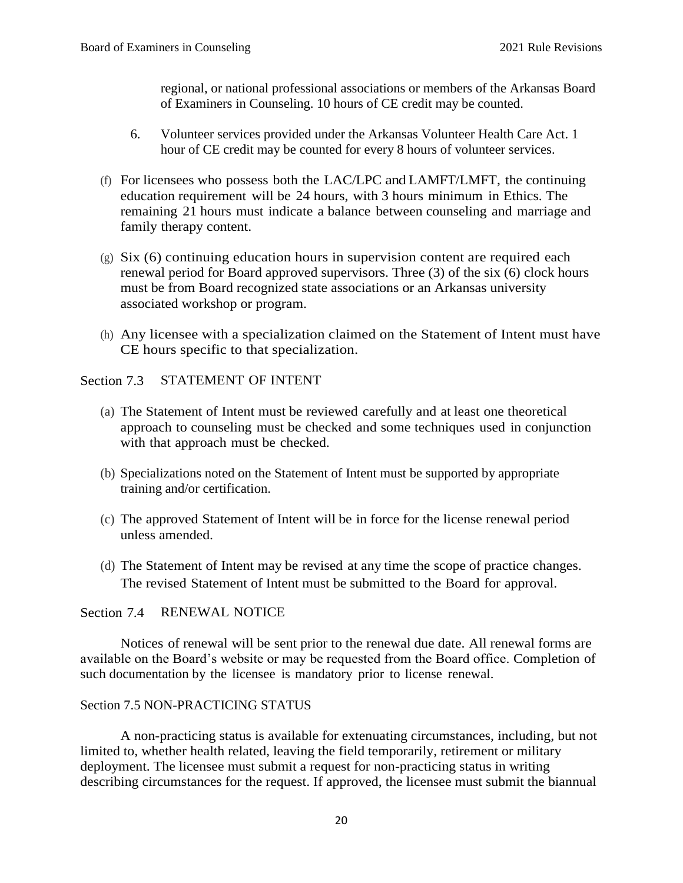regional, or national professional associations or members of the Arkansas Board of Examiners in Counseling. 10 hours of CE credit may be counted.

- 6. Volunteer services provided under the Arkansas Volunteer Health Care Act. 1 hour of CE credit may be counted for every 8 hours of volunteer services.
- (f) For licensees who possess both the LAC/LPC and LAMFT/LMFT, the continuing education requirement will be 24 hours, with 3 hours minimum in Ethics. The remaining 21 hours must indicate a balance between counseling and marriage and family therapy content.
- (g) Six (6) continuing education hours in supervision content are required each renewal period for Board approved supervisors. Three (3) of the six (6) clock hours must be from Board recognized state associations or an Arkansas university associated workshop or program.
- (h) Any licensee with a specialization claimed on the Statement of Intent must have CE hours specific to that specialization.

# Section 7.3 STATEMENT OF INTENT

- (a) The Statement of Intent must be reviewed carefully and at least one theoretical approach to counseling must be checked and some techniques used in conjunction with that approach must be checked.
- (b) Specializations noted on the Statement of Intent must be supported by appropriate training and/or certification.
- (c) The approved Statement of Intent will be in force for the license renewal period unless amended.
- (d) The Statement of Intent may be revised at any time the scope of practice changes. The revised Statement of Intent must be submitted to the Board for approval.

# Section 7.4 RENEWAL NOTICE

Notices of renewal will be sent prior to the renewal due date. All renewal forms are available on the Board's website or may be requested from the Board office. Completion of such documentation by the licensee is mandatory prior to license renewal.

#### Section 7.5 NON-PRACTICING STATUS

A non-practicing status is available for extenuating circumstances, including, but not limited to, whether health related, leaving the field temporarily, retirement or military deployment. The licensee must submit a request for non-practicing status in writing describing circumstances for the request. If approved, the licensee must submit the biannual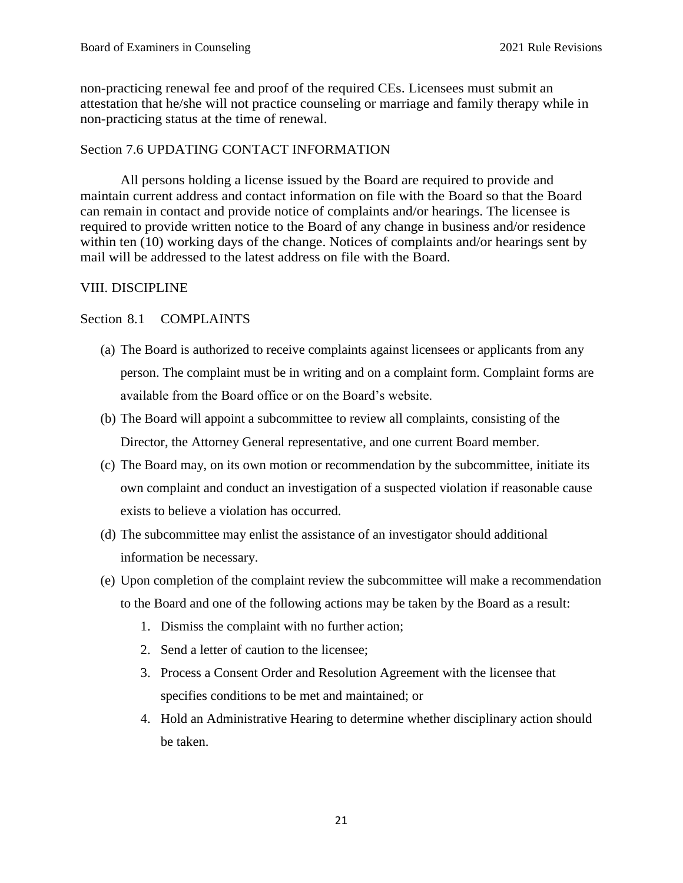non-practicing renewal fee and proof of the required CEs. Licensees must submit an attestation that he/she will not practice counseling or marriage and family therapy while in non-practicing status at the time of renewal.

# Section 7.6 UPDATING CONTACT INFORMATION

All persons holding a license issued by the Board are required to provide and maintain current address and contact information on file with the Board so that the Board can remain in contact and provide notice of complaints and/or hearings. The licensee is required to provide written notice to the Board of any change in business and/or residence within ten (10) working days of the change. Notices of complaints and/or hearings sent by mail will be addressed to the latest address on file with the Board.

# VIII. DISCIPLINE

# Section 8.1 COMPLAINTS

- (a) The Board is authorized to receive complaints against licensees or applicants from any person. The complaint must be in writing and on a complaint form. Complaint forms are available from the Board office or on the Board's website.
- (b) The Board will appoint a subcommittee to review all complaints, consisting of the Director, the Attorney General representative, and one current Board member.
- (c) The Board may, on its own motion or recommendation by the subcommittee, initiate its own complaint and conduct an investigation of a suspected violation if reasonable cause exists to believe a violation has occurred.
- (d) The subcommittee may enlist the assistance of an investigator should additional information be necessary.
- (e) Upon completion of the complaint review the subcommittee will make a recommendation to the Board and one of the following actions may be taken by the Board as a result:
	- 1. Dismiss the complaint with no further action;
	- 2. Send a letter of caution to the licensee;
	- 3. Process a Consent Order and Resolution Agreement with the licensee that specifies conditions to be met and maintained; or
	- 4. Hold an Administrative Hearing to determine whether disciplinary action should be taken.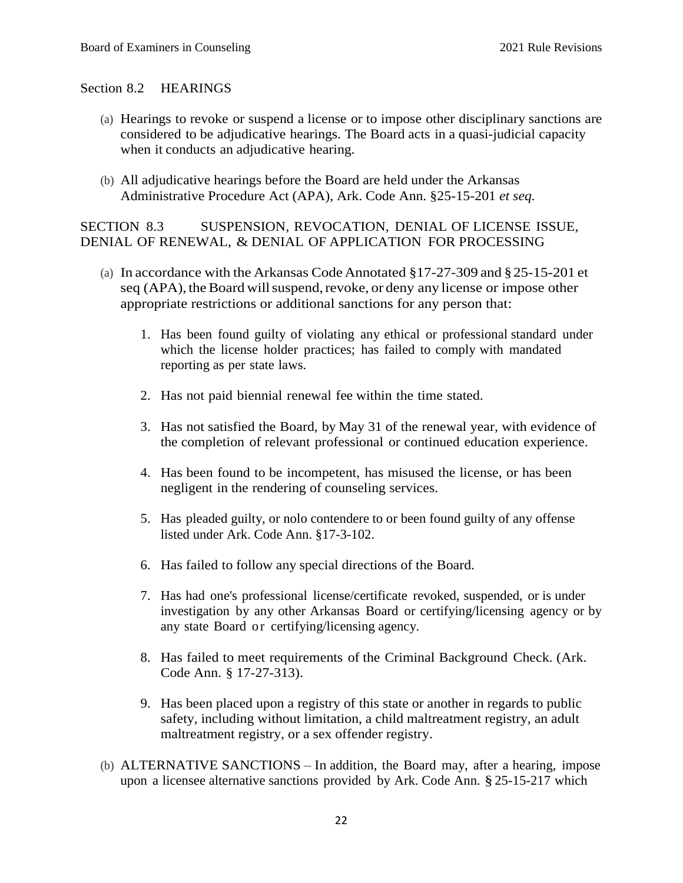#### Section 8.2 HEARINGS

- (a) Hearings to revoke or suspend a license or to impose other disciplinary sanctions are considered to be adjudicative hearings. The Board acts in a quasi-judicial capacity when it conducts an adjudicative hearing.
- (b) All adjudicative hearings before the Board are held under the Arkansas Administrative Procedure Act (APA), Ark. Code Ann. §25-15-201 *et seq.*

SECTION 8.3 SUSPENSION, REVOCATION, DENIAL OF LICENSE ISSUE, DENIAL OF RENEWAL, & DENIAL OF APPLICATION FOR PROCESSING

- (a) In accordance with the Arkansas Code Annotated §17-27-309 and §25-15-201 et seq (APA), the Board will suspend, revoke, or deny any license or impose other appropriate restrictions or additional sanctions for any person that:
	- 1. Has been found guilty of violating any ethical or professional standard under which the license holder practices; has failed to comply with mandated reporting as per state laws.
	- 2. Has not paid biennial renewal fee within the time stated.
	- 3. Has not satisfied the Board, by May 31 of the renewal year, with evidence of the completion of relevant professional or continued education experience.
	- 4. Has been found to be incompetent, has misused the license, or has been negligent in the rendering of counseling services.
	- 5. Has pleaded guilty, or nolo contendere to or been found guilty of any offense listed under Ark. Code Ann. §17-3-102.
	- 6. Has failed to follow any special directions of the Board.
	- 7. Has had one's professional license/certificate revoked, suspended, or is under investigation by any other Arkansas Board or certifying/licensing agency or by any state Board or certifying/licensing agency.
	- 8. Has failed to meet requirements of the Criminal Background Check. (Ark. Code Ann. § 17-27-313).
	- 9. Has been placed upon a registry of this state or another in regards to public safety, including without limitation, a child maltreatment registry, an adult maltreatment registry, or a sex offender registry.
- (b) ALTERNATIVE SANCTIONS In addition, the Board may, after a hearing, impose upon a licensee alternative sanctions provided by Ark. Code Ann. § 25-15-217 which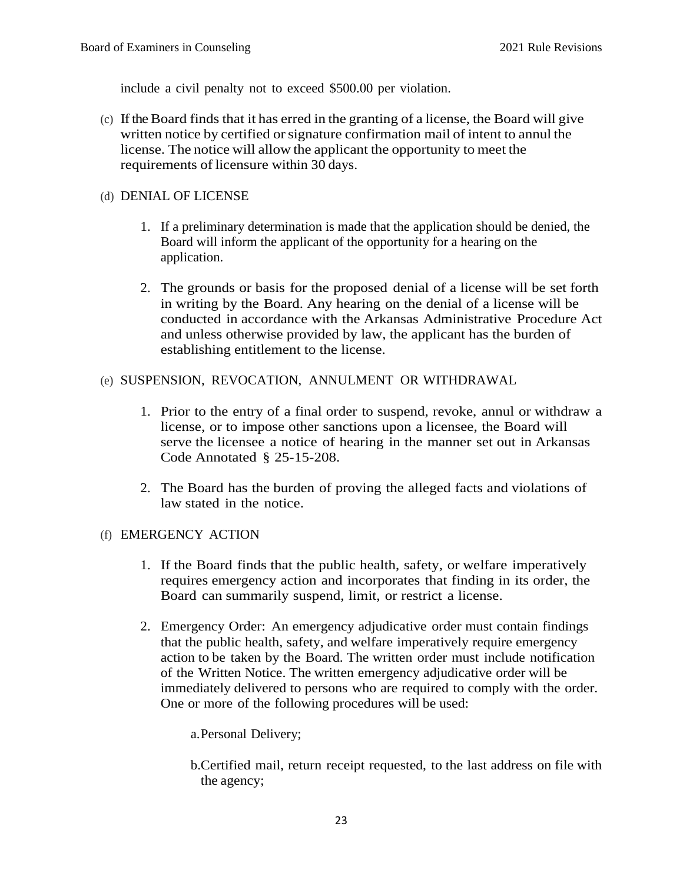include a civil penalty not to exceed \$500.00 per violation.

(c) If the Board finds that it has erred in the granting of a license, the Board will give written notice by certified or signature confirmation mail of intent to annul the license. The notice will allow the applicant the opportunity to meet the requirements of licensure within 30 days.

## (d) DENIAL OF LICENSE

- 1. If a preliminary determination is made that the application should be denied, the Board will inform the applicant of the opportunity for a hearing on the application.
- 2. The grounds or basis for the proposed denial of a license will be set forth in writing by the Board. Any hearing on the denial of a license will be conducted in accordance with the Arkansas Administrative Procedure Act and unless otherwise provided by law, the applicant has the burden of establishing entitlement to the license.

# (e) SUSPENSION, REVOCATION, ANNULMENT OR WITHDRAWAL

- 1. Prior to the entry of a final order to suspend, revoke, annul or withdraw a license, or to impose other sanctions upon a licensee, the Board will serve the licensee a notice of hearing in the manner set out in Arkansas Code Annotated § 25-15-208.
- 2. The Board has the burden of proving the alleged facts and violations of law stated in the notice.

#### (f) EMERGENCY ACTION

- 1. If the Board finds that the public health, safety, or welfare imperatively requires emergency action and incorporates that finding in its order, the Board can summarily suspend, limit, or restrict a license.
- 2. Emergency Order: An emergency adjudicative order must contain findings that the public health, safety, and welfare imperatively require emergency action to be taken by the Board. The written order must include notification of the Written Notice. The written emergency adjudicative order will be immediately delivered to persons who are required to comply with the order. One or more of the following procedures will be used:

a.Personal Delivery;

b.Certified mail, return receipt requested, to the last address on file with the agency;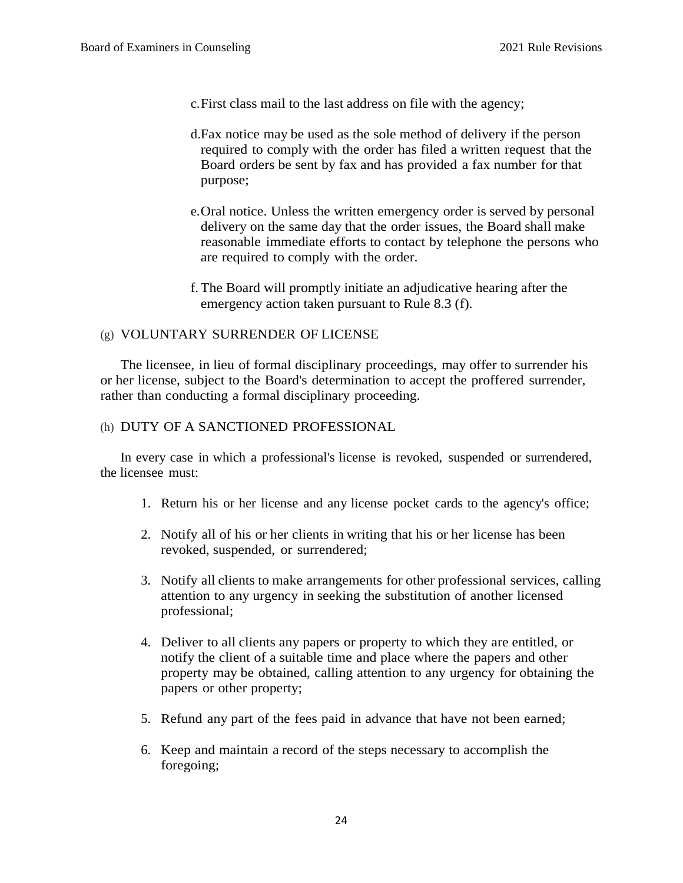c.First class mail to the last address on file with the agency;

- d.Fax notice may be used as the sole method of delivery if the person required to comply with the order has filed a written request that the Board orders be sent by fax and has provided a fax number for that purpose;
- e.Oral notice. Unless the written emergency order is served by personal delivery on the same day that the order issues, the Board shall make reasonable immediate efforts to contact by telephone the persons who are required to comply with the order.
- f. The Board will promptly initiate an adjudicative hearing after the emergency action taken pursuant to Rule 8.3 (f).

# (g) VOLUNTARY SURRENDER OF LICENSE

The licensee, in lieu of formal disciplinary proceedings, may offer to surrender his or her license, subject to the Board's determination to accept the proffered surrender, rather than conducting a formal disciplinary proceeding.

# (h) DUTY OF A SANCTIONED PROFESSIONAL

In every case in which a professional's license is revoked, suspended or surrendered, the licensee must:

- 1. Return his or her license and any license pocket cards to the agency's office;
- 2. Notify all of his or her clients in writing that his or her license has been revoked, suspended, or surrendered;
- 3. Notify all clients to make arrangements for other professional services, calling attention to any urgency in seeking the substitution of another licensed professional;
- 4. Deliver to all clients any papers or property to which they are entitled, or notify the client of a suitable time and place where the papers and other property may be obtained, calling attention to any urgency for obtaining the papers or other property;
- 5. Refund any part of the fees paid in advance that have not been earned;
- 6. Keep and maintain a record of the steps necessary to accomplish the foregoing;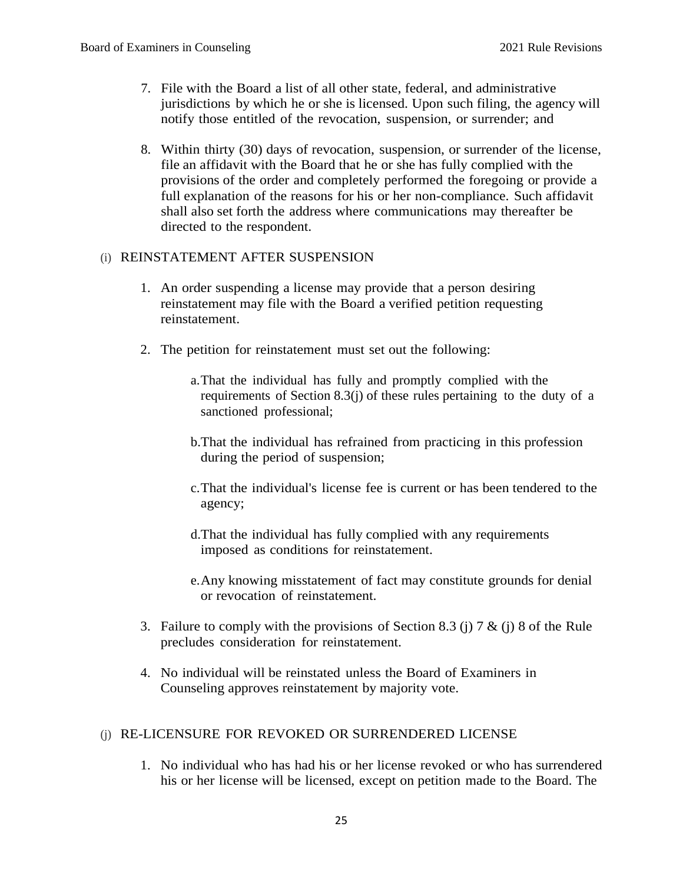- 7. File with the Board a list of all other state, federal, and administrative jurisdictions by which he or she is licensed. Upon such filing, the agency will notify those entitled of the revocation, suspension, or surrender; and
- 8. Within thirty (30) days of revocation, suspension, or surrender of the license, file an affidavit with the Board that he or she has fully complied with the provisions of the order and completely performed the foregoing or provide a full explanation of the reasons for his or her non-compliance. Such affidavit shall also set forth the address where communications may thereafter be directed to the respondent.

# (i) REINSTATEMENT AFTER SUSPENSION

- 1. An order suspending a license may provide that a person desiring reinstatement may file with the Board a verified petition requesting reinstatement.
- 2. The petition for reinstatement must set out the following:
	- a.That the individual has fully and promptly complied with the requirements of Section 8.3(j) of these rules pertaining to the duty of a sanctioned professional;
	- b.That the individual has refrained from practicing in this profession during the period of suspension;
	- c.That the individual's license fee is current or has been tendered to the agency;
	- d.That the individual has fully complied with any requirements imposed as conditions for reinstatement.
	- e.Any knowing misstatement of fact may constitute grounds for denial or revocation of reinstatement.
- 3. Failure to comply with the provisions of Section 8.3 (j) 7 & (j) 8 of the Rule precludes consideration for reinstatement.
- 4. No individual will be reinstated unless the Board of Examiners in Counseling approves reinstatement by majority vote.

#### (j) RE-LICENSURE FOR REVOKED OR SURRENDERED LICENSE

1. No individual who has had his or her license revoked or who has surrendered his or her license will be licensed, except on petition made to the Board. The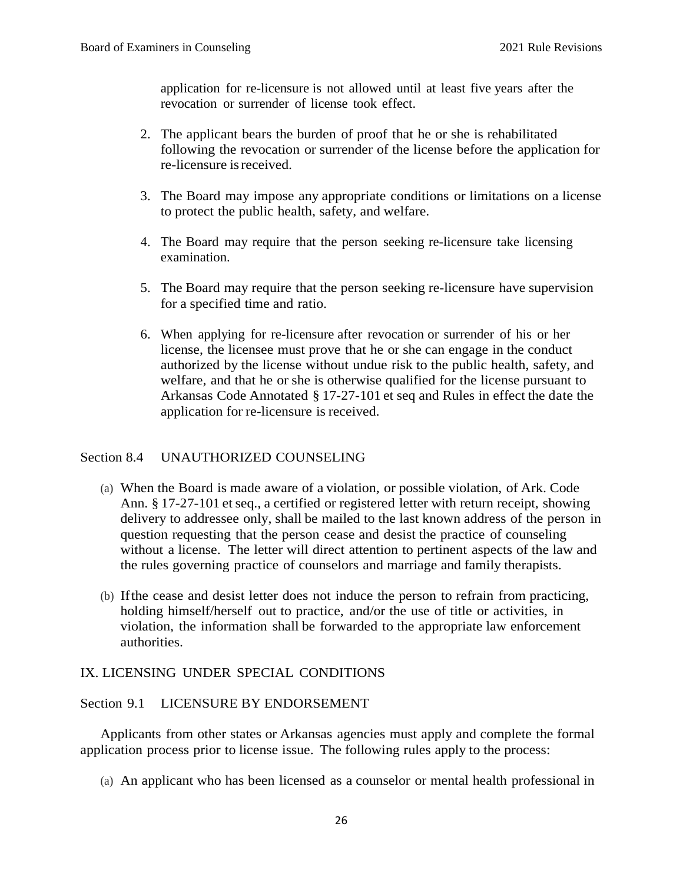application for re-licensure is not allowed until at least five years after the revocation or surrender of license took effect.

- 2. The applicant bears the burden of proof that he or she is rehabilitated following the revocation or surrender of the license before the application for re-licensure isreceived.
- 3. The Board may impose any appropriate conditions or limitations on a license to protect the public health, safety, and welfare.
- 4. The Board may require that the person seeking re-licensure take licensing examination.
- 5. The Board may require that the person seeking re-licensure have supervision for a specified time and ratio.
- 6. When applying for re-licensure after revocation or surrender of his or her license, the licensee must prove that he or she can engage in the conduct authorized by the license without undue risk to the public health, safety, and welfare, and that he or she is otherwise qualified for the license pursuant to Arkansas Code Annotated § 17-27-101 et seq and Rules in effect the date the application for re-licensure is received.

# Section 8.4 UNAUTHORIZED COUNSELING

- (a) When the Board is made aware of a violation, or possible violation, of Ark. Code Ann. § 17-27-101 et seq., a certified or registered letter with return receipt, showing delivery to addressee only, shall be mailed to the last known address of the person in question requesting that the person cease and desist the practice of counseling without a license. The letter will direct attention to pertinent aspects of the law and the rules governing practice of counselors and marriage and family therapists.
- (b) Ifthe cease and desist letter does not induce the person to refrain from practicing, holding himself/herself out to practice, and/or the use of title or activities, in violation, the information shall be forwarded to the appropriate law enforcement authorities.

# IX. LICENSING UNDER SPECIAL CONDITIONS

#### Section 9.1 LICENSURE BY ENDORSEMENT

Applicants from other states or Arkansas agencies must apply and complete the formal application process prior to license issue. The following rules apply to the process:

(a) An applicant who has been licensed as a counselor or mental health professional in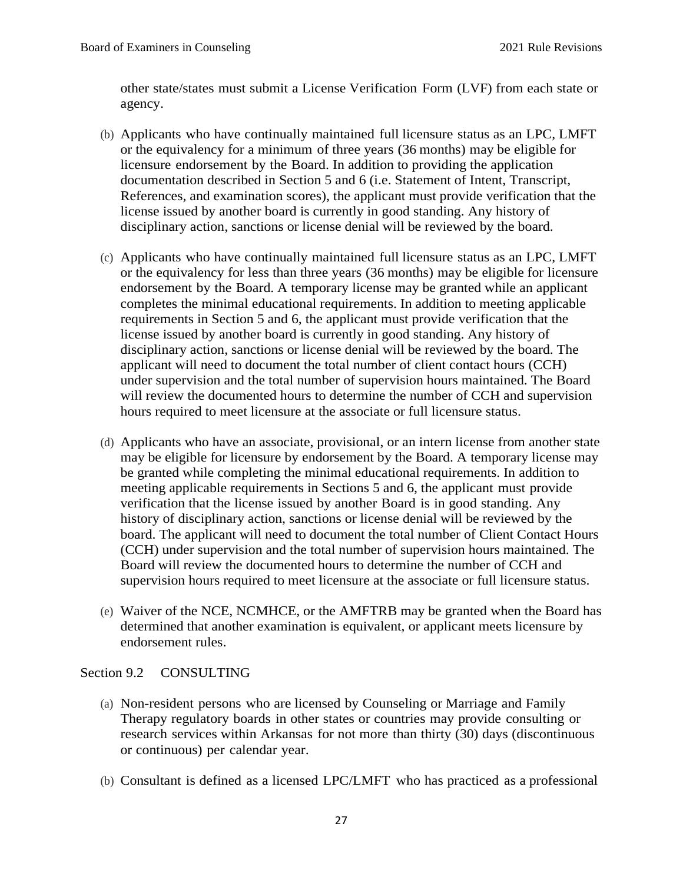other state/states must submit a License Verification Form (LVF) from each state or agency.

- (b) Applicants who have continually maintained full licensure status as an LPC, LMFT or the equivalency for a minimum of three years (36 months) may be eligible for licensure endorsement by the Board. In addition to providing the application documentation described in Section 5 and 6 (i.e. Statement of Intent, Transcript, References, and examination scores), the applicant must provide verification that the license issued by another board is currently in good standing. Any history of disciplinary action, sanctions or license denial will be reviewed by the board.
- (c) Applicants who have continually maintained full licensure status as an LPC, LMFT or the equivalency for less than three years (36 months) may be eligible for licensure endorsement by the Board. A temporary license may be granted while an applicant completes the minimal educational requirements. In addition to meeting applicable requirements in Section 5 and 6, the applicant must provide verification that the license issued by another board is currently in good standing. Any history of disciplinary action, sanctions or license denial will be reviewed by the board. The applicant will need to document the total number of client contact hours (CCH) under supervision and the total number of supervision hours maintained. The Board will review the documented hours to determine the number of CCH and supervision hours required to meet licensure at the associate or full licensure status.
- (d) Applicants who have an associate, provisional, or an intern license from another state may be eligible for licensure by endorsement by the Board. A temporary license may be granted while completing the minimal educational requirements. In addition to meeting applicable requirements in Sections 5 and 6, the applicant must provide verification that the license issued by another Board is in good standing. Any history of disciplinary action, sanctions or license denial will be reviewed by the board. The applicant will need to document the total number of Client Contact Hours (CCH) under supervision and the total number of supervision hours maintained. The Board will review the documented hours to determine the number of CCH and supervision hours required to meet licensure at the associate or full licensure status.
- (e) Waiver of the NCE, NCMHCE, or the AMFTRB may be granted when the Board has determined that another examination is equivalent, or applicant meets licensure by endorsement rules.

#### Section 9.2 CONSULTING

- (a) Non-resident persons who are licensed by Counseling or Marriage and Family Therapy regulatory boards in other states or countries may provide consulting or research services within Arkansas for not more than thirty (30) days (discontinuous or continuous) per calendar year.
- (b) Consultant is defined as a licensed LPC/LMFT who has practiced as a professional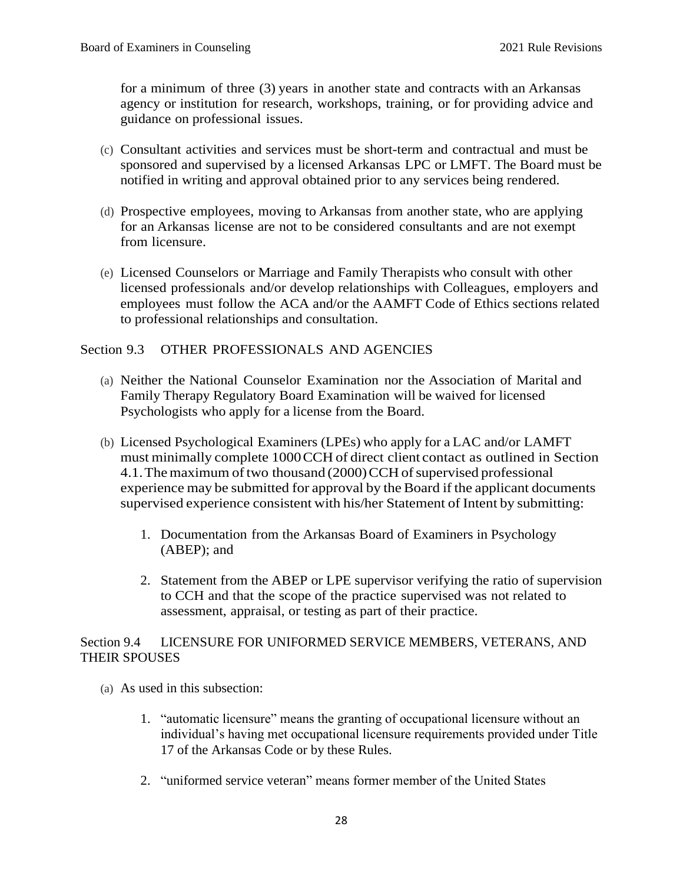for a minimum of three (3) years in another state and contracts with an Arkansas agency or institution for research, workshops, training, or for providing advice and guidance on professional issues.

- (c) Consultant activities and services must be short-term and contractual and must be sponsored and supervised by a licensed Arkansas LPC or LMFT. The Board must be notified in writing and approval obtained prior to any services being rendered.
- (d) Prospective employees, moving to Arkansas from another state, who are applying for an Arkansas license are not to be considered consultants and are not exempt from licensure.
- (e) Licensed Counselors or Marriage and Family Therapists who consult with other licensed professionals and/or develop relationships with Colleagues, employers and employees must follow the ACA and/or the AAMFT Code of Ethics sections related to professional relationships and consultation.

# Section 9.3 OTHER PROFESSIONALS AND AGENCIES

- (a) Neither the National Counselor Examination nor the Association of Marital and Family Therapy Regulatory Board Examination will be waived for licensed Psychologists who apply for a license from the Board.
- (b) Licensed Psychological Examiners (LPEs) who apply for a LAC and/or LAMFT must minimally complete 1000CCH of direct client contact as outlined in Section 4.1. The maximum of two thousand (2000) CCH of supervised professional experience may be submitted for approval by the Board if the applicant documents supervised experience consistent with his/her Statement of Intent by submitting:
	- 1. Documentation from the Arkansas Board of Examiners in Psychology (ABEP); and
	- 2. Statement from the ABEP or LPE supervisor verifying the ratio of supervision to CCH and that the scope of the practice supervised was not related to assessment, appraisal, or testing as part of their practice.

#### Section 9.4 LICENSURE FOR UNIFORMED SERVICE MEMBERS, VETERANS, AND THEIR SPOUSES

- (a) As used in this subsection:
	- 1. "automatic licensure" means the granting of occupational licensure without an individual's having met occupational licensure requirements provided under Title 17 of the Arkansas Code or by these Rules.
	- 2. "uniformed service veteran" means former member of the United States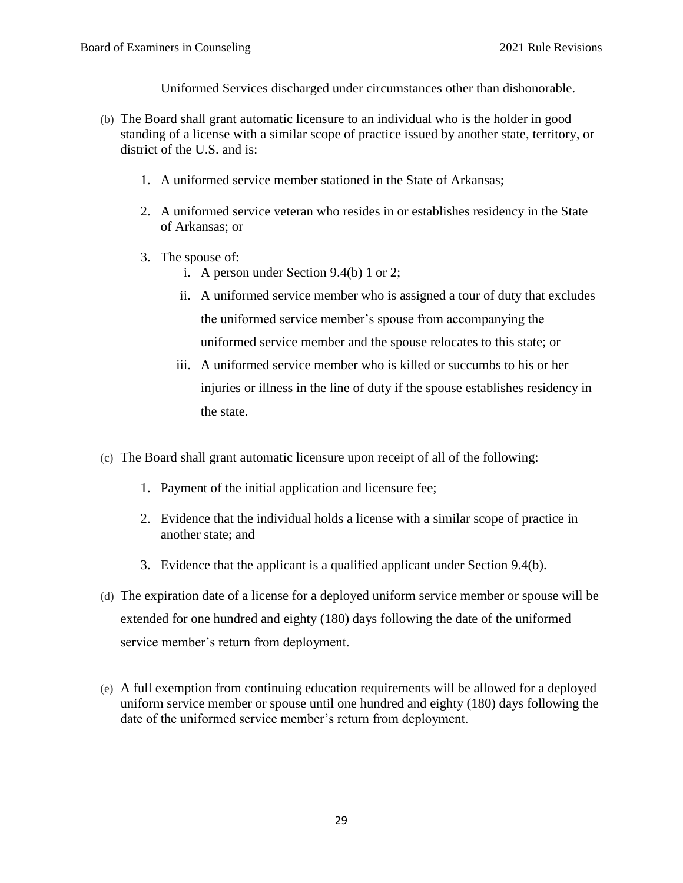Uniformed Services discharged under circumstances other than dishonorable.

- (b) The Board shall grant automatic licensure to an individual who is the holder in good standing of a license with a similar scope of practice issued by another state, territory, or district of the U.S. and is:
	- 1. A uniformed service member stationed in the State of Arkansas;
	- 2. A uniformed service veteran who resides in or establishes residency in the State of Arkansas; or
	- 3. The spouse of:
		- i. A person under Section 9.4(b) 1 or 2;
		- ii. A uniformed service member who is assigned a tour of duty that excludes the uniformed service member's spouse from accompanying the uniformed service member and the spouse relocates to this state; or
		- iii. A uniformed service member who is killed or succumbs to his or her injuries or illness in the line of duty if the spouse establishes residency in the state.
- (c) The Board shall grant automatic licensure upon receipt of all of the following:
	- 1. Payment of the initial application and licensure fee;
	- 2. Evidence that the individual holds a license with a similar scope of practice in another state; and
	- 3. Evidence that the applicant is a qualified applicant under Section 9.4(b).
- (d) The expiration date of a license for a deployed uniform service member or spouse will be extended for one hundred and eighty (180) days following the date of the uniformed service member's return from deployment.
- (e) A full exemption from continuing education requirements will be allowed for a deployed uniform service member or spouse until one hundred and eighty (180) days following the date of the uniformed service member's return from deployment.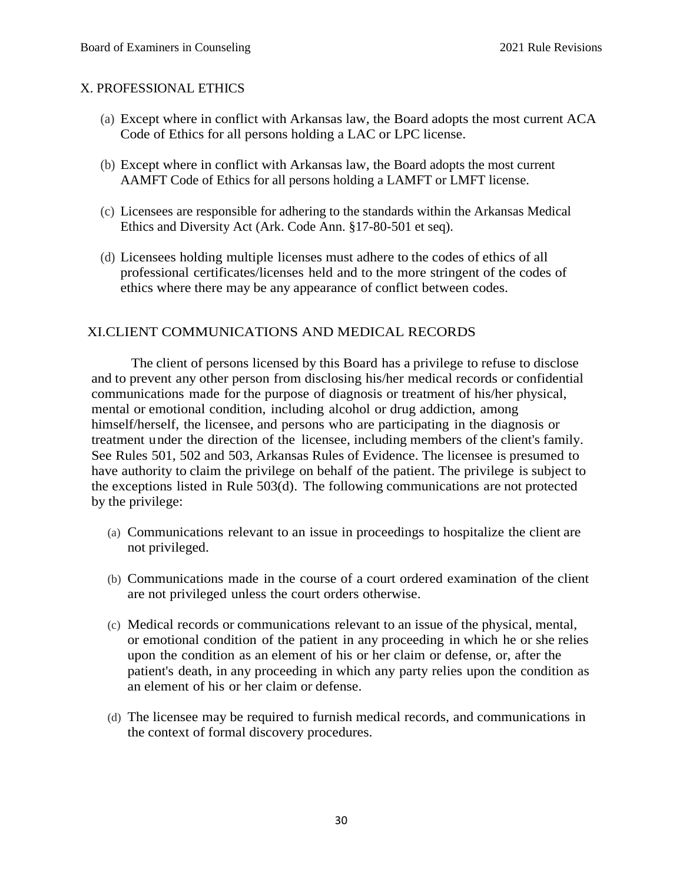### X. PROFESSIONAL ETHICS

- (a) Except where in conflict with Arkansas law, the Board adopts the most current ACA Code of Ethics for all persons holding a LAC or LPC license.
- (b) Except where in conflict with Arkansas law, the Board adopts the most current AAMFT Code of Ethics for all persons holding a LAMFT or LMFT license.
- (c) Licensees are responsible for adhering to the standards within the Arkansas Medical Ethics and Diversity Act (Ark. Code Ann. §17-80-501 et seq).
- (d) Licensees holding multiple licenses must adhere to the codes of ethics of all professional certificates/licenses held and to the more stringent of the codes of ethics where there may be any appearance of conflict between codes.

# XI.CLIENT COMMUNICATIONS AND MEDICAL RECORDS

The client of persons licensed by this Board has a privilege to refuse to disclose and to prevent any other person from disclosing his/her medical records or confidential communications made for the purpose of diagnosis or treatment of his/her physical, mental or emotional condition, including alcohol or drug addiction, among himself/herself, the licensee, and persons who are participating in the diagnosis or treatment under the direction of the licensee, including members of the client's family. See Rules 501, 502 and 503, Arkansas Rules of Evidence. The licensee is presumed to have authority to claim the privilege on behalf of the patient. The privilege is subject to the exceptions listed in Rule 503(d). The following communications are not protected by the privilege:

- (a) Communications relevant to an issue in proceedings to hospitalize the client are not privileged.
- (b) Communications made in the course of a court ordered examination of the client are not privileged unless the court orders otherwise.
- (c) Medical records or communications relevant to an issue of the physical, mental, or emotional condition of the patient in any proceeding in which he or she relies upon the condition as an element of his or her claim or defense, or, after the patient's death, in any proceeding in which any party relies upon the condition as an element of his or her claim or defense.
- (d) The licensee may be required to furnish medical records, and communications in the context of formal discovery procedures.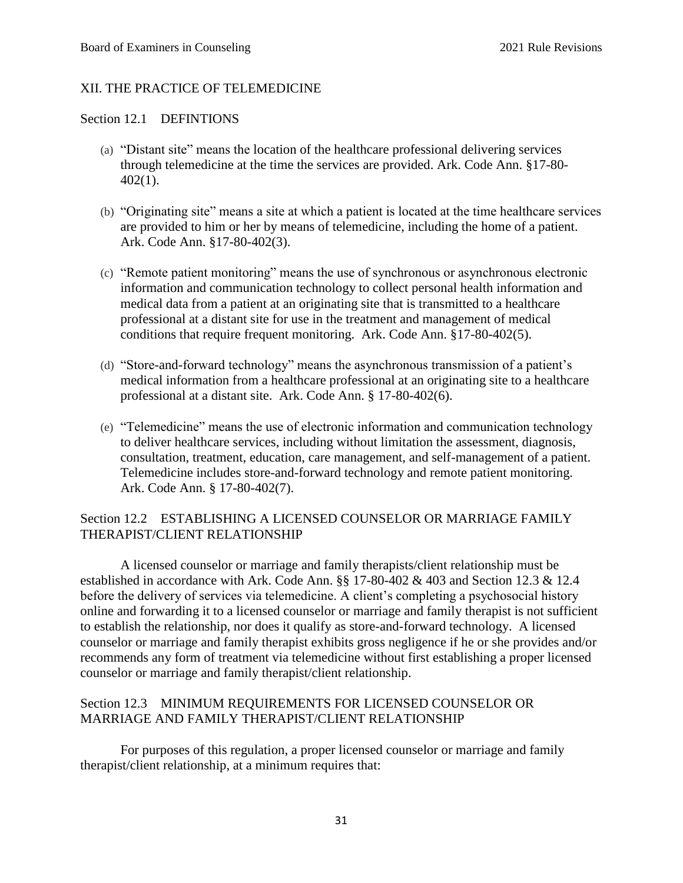# XII. THE PRACTICE OF TELEMEDICINE

#### Section 12.1 DEFINTIONS

- (a) "Distant site" means the location of the healthcare professional delivering services through telemedicine at the time the services are provided. Ark. Code Ann. §17-80- 402(1).
- (b) "Originating site" means a site at which a patient is located at the time healthcare services are provided to him or her by means of telemedicine, including the home of a patient. Ark. Code Ann. §17-80-402(3).
- (c) "Remote patient monitoring" means the use of synchronous or asynchronous electronic information and communication technology to collect personal health information and medical data from a patient at an originating site that is transmitted to a healthcare professional at a distant site for use in the treatment and management of medical conditions that require frequent monitoring. Ark. Code Ann. §17-80-402(5).
- (d) "Store-and-forward technology" means the asynchronous transmission of a patient's medical information from a healthcare professional at an originating site to a healthcare professional at a distant site. Ark. Code Ann. § 17-80-402(6).
- (e) "Telemedicine" means the use of electronic information and communication technology to deliver healthcare services, including without limitation the assessment, diagnosis, consultation, treatment, education, care management, and self-management of a patient. Telemedicine includes store-and-forward technology and remote patient monitoring. Ark. Code Ann. § 17-80-402(7).

# Section 12.2 ESTABLISHING A LICENSED COUNSELOR OR MARRIAGE FAMILY THERAPIST/CLIENT RELATIONSHIP

A licensed counselor or marriage and family therapists/client relationship must be established in accordance with Ark. Code Ann. §§ 17-80-402 & 403 and Section 12.3 & 12.4 before the delivery of services via telemedicine. A client's completing a psychosocial history online and forwarding it to a licensed counselor or marriage and family therapist is not sufficient to establish the relationship, nor does it qualify as store-and-forward technology. A licensed counselor or marriage and family therapist exhibits gross negligence if he or she provides and/or recommends any form of treatment via telemedicine without first establishing a proper licensed counselor or marriage and family therapist/client relationship.

# Section 12.3 MINIMUM REQUIREMENTS FOR LICENSED COUNSELOR OR MARRIAGE AND FAMILY THERAPIST/CLIENT RELATIONSHIP

For purposes of this regulation, a proper licensed counselor or marriage and family therapist/client relationship, at a minimum requires that: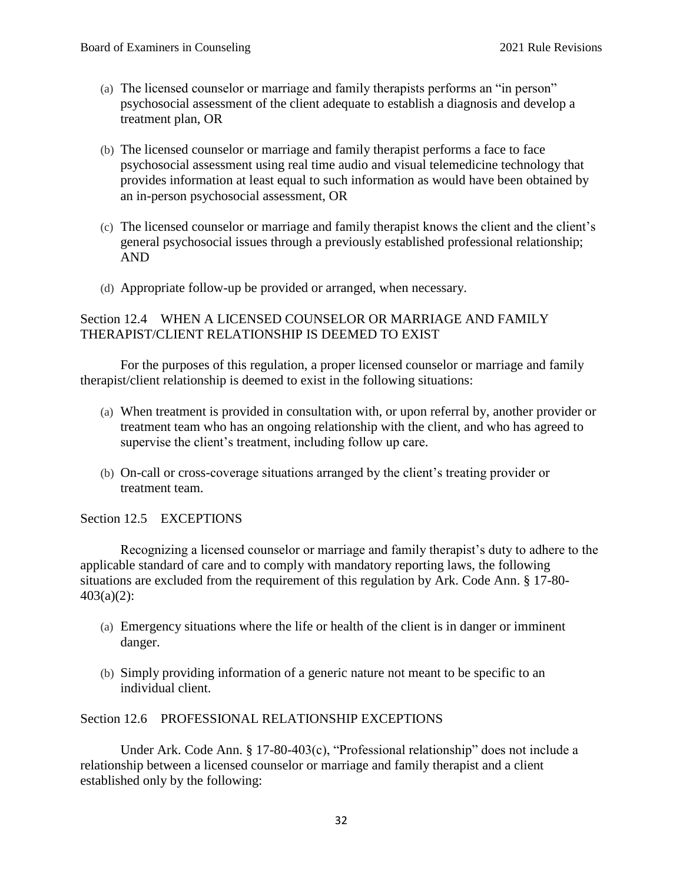- (a) The licensed counselor or marriage and family therapists performs an "in person" psychosocial assessment of the client adequate to establish a diagnosis and develop a treatment plan, OR
- (b) The licensed counselor or marriage and family therapist performs a face to face psychosocial assessment using real time audio and visual telemedicine technology that provides information at least equal to such information as would have been obtained by an in-person psychosocial assessment, OR
- (c) The licensed counselor or marriage and family therapist knows the client and the client's general psychosocial issues through a previously established professional relationship; AND
- (d) Appropriate follow-up be provided or arranged, when necessary.

# Section 12.4 WHEN A LICENSED COUNSELOR OR MARRIAGE AND FAMILY THERAPIST/CLIENT RELATIONSHIP IS DEEMED TO EXIST

For the purposes of this regulation, a proper licensed counselor or marriage and family therapist/client relationship is deemed to exist in the following situations:

- (a) When treatment is provided in consultation with, or upon referral by, another provider or treatment team who has an ongoing relationship with the client, and who has agreed to supervise the client's treatment, including follow up care.
- (b) On-call or cross-coverage situations arranged by the client's treating provider or treatment team.

Section 12.5 EXCEPTIONS

Recognizing a licensed counselor or marriage and family therapist's duty to adhere to the applicable standard of care and to comply with mandatory reporting laws, the following situations are excluded from the requirement of this regulation by Ark. Code Ann. § 17-80- 403(a)(2):

- (a) Emergency situations where the life or health of the client is in danger or imminent danger.
- (b) Simply providing information of a generic nature not meant to be specific to an individual client.

# Section 12.6 PROFESSIONAL RELATIONSHIP EXCEPTIONS

Under Ark. Code Ann. § 17-80-403(c), "Professional relationship" does not include a relationship between a licensed counselor or marriage and family therapist and a client established only by the following: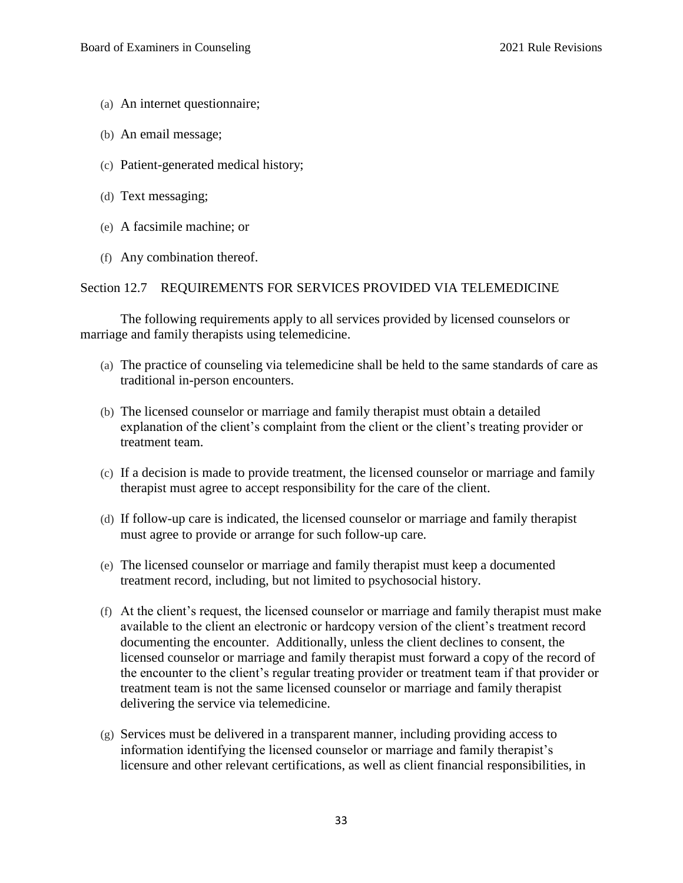- (a) An internet questionnaire;
- (b) An email message;
- (c) Patient-generated medical history;
- (d) Text messaging;
- (e) A facsimile machine; or
- (f) Any combination thereof.

#### Section 12.7 REQUIREMENTS FOR SERVICES PROVIDED VIA TELEMEDICINE

The following requirements apply to all services provided by licensed counselors or marriage and family therapists using telemedicine.

- (a) The practice of counseling via telemedicine shall be held to the same standards of care as traditional in-person encounters.
- (b) The licensed counselor or marriage and family therapist must obtain a detailed explanation of the client's complaint from the client or the client's treating provider or treatment team.
- (c) If a decision is made to provide treatment, the licensed counselor or marriage and family therapist must agree to accept responsibility for the care of the client.
- (d) If follow-up care is indicated, the licensed counselor or marriage and family therapist must agree to provide or arrange for such follow-up care.
- (e) The licensed counselor or marriage and family therapist must keep a documented treatment record, including, but not limited to psychosocial history.
- (f) At the client's request, the licensed counselor or marriage and family therapist must make available to the client an electronic or hardcopy version of the client's treatment record documenting the encounter. Additionally, unless the client declines to consent, the licensed counselor or marriage and family therapist must forward a copy of the record of the encounter to the client's regular treating provider or treatment team if that provider or treatment team is not the same licensed counselor or marriage and family therapist delivering the service via telemedicine.
- (g) Services must be delivered in a transparent manner, including providing access to information identifying the licensed counselor or marriage and family therapist's licensure and other relevant certifications, as well as client financial responsibilities, in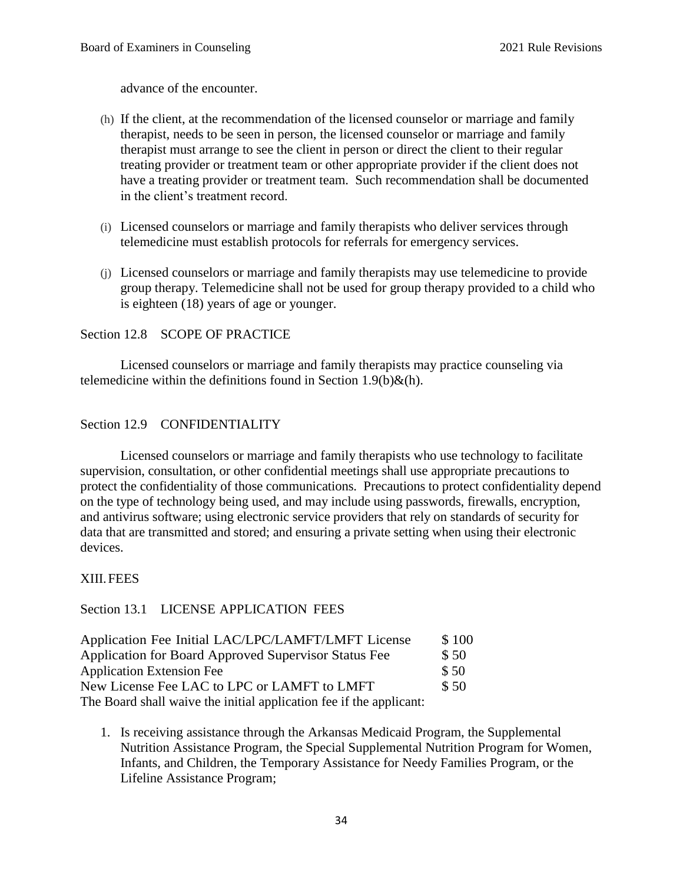advance of the encounter.

- (h) If the client, at the recommendation of the licensed counselor or marriage and family therapist, needs to be seen in person, the licensed counselor or marriage and family therapist must arrange to see the client in person or direct the client to their regular treating provider or treatment team or other appropriate provider if the client does not have a treating provider or treatment team. Such recommendation shall be documented in the client's treatment record.
- (i) Licensed counselors or marriage and family therapists who deliver services through telemedicine must establish protocols for referrals for emergency services.
- (j) Licensed counselors or marriage and family therapists may use telemedicine to provide group therapy. Telemedicine shall not be used for group therapy provided to a child who is eighteen (18) years of age or younger.

# Section 12.8 SCOPE OF PRACTICE

Licensed counselors or marriage and family therapists may practice counseling via telemedicine within the definitions found in Section 1.9(b) $\&$ (h).

# Section 12.9 CONFIDENTIALITY

Licensed counselors or marriage and family therapists who use technology to facilitate supervision, consultation, or other confidential meetings shall use appropriate precautions to protect the confidentiality of those communications. Precautions to protect confidentiality depend on the type of technology being used, and may include using passwords, firewalls, encryption, and antivirus software; using electronic service providers that rely on standards of security for data that are transmitted and stored; and ensuring a private setting when using their electronic devices.

#### XIII.FEES

# Section 13.1 LICENSE APPLICATION FEES

| Application Fee Initial LAC/LPC/LAMFT/LMFT License                  | \$100 |
|---------------------------------------------------------------------|-------|
| Application for Board Approved Supervisor Status Fee                | \$50  |
| <b>Application Extension Fee</b>                                    | \$50  |
| New License Fee LAC to LPC or LAMFT to LMFT                         | \$50  |
| The Board shall waive the initial application fee if the applicant: |       |

1. Is receiving assistance through the Arkansas Medicaid Program, the Supplemental Nutrition Assistance Program, the Special Supplemental Nutrition Program for Women, Infants, and Children, the Temporary Assistance for Needy Families Program, or the Lifeline Assistance Program;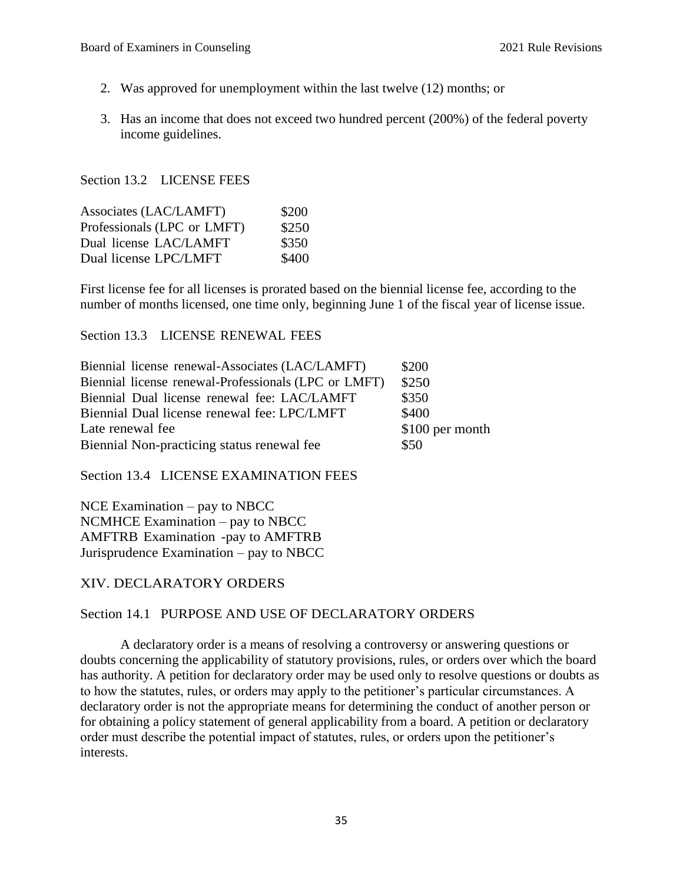- 2. Was approved for unemployment within the last twelve (12) months; or
- 3. Has an income that does not exceed two hundred percent (200%) of the federal poverty income guidelines.

Section 13.2 LICENSE FEES

| Associates (LAC/LAMFT)      | \$200 |
|-----------------------------|-------|
| Professionals (LPC or LMFT) | \$250 |
| Dual license LAC/LAMFT      | \$350 |
| Dual license LPC/LMFT       | \$400 |

First license fee for all licenses is prorated based on the biennial license fee, according to the number of months licensed, one time only, beginning June 1 of the fiscal year of license issue.

Section 13.3 LICENSE RENEWAL FEES

| Biennial license renewal-Associates (LAC/LAMFT)      | \$200           |
|------------------------------------------------------|-----------------|
| Biennial license renewal-Professionals (LPC or LMFT) | \$250           |
| Biennial Dual license renewal fee: LAC/LAMFT         | \$350           |
| Biennial Dual license renewal fee: LPC/LMFT          | \$400           |
| Late renewal fee                                     | \$100 per month |
| Biennial Non-practicing status renewal fee           | \$50            |

Section 13.4 LICENSE EXAMINATION FEES

NCE Examination – pay to NBCC NCMHCE Examination – pay to NBCC AMFTRB Examination -pay to AMFTRB Jurisprudence Examination – pay to NBCC

#### XIV. DECLARATORY ORDERS

#### Section 14.1 PURPOSE AND USE OF DECLARATORY ORDERS

A declaratory order is a means of resolving a controversy or answering questions or doubts concerning the applicability of statutory provisions, rules, or orders over which the board has authority. A petition for declaratory order may be used only to resolve questions or doubts as to how the statutes, rules, or orders may apply to the petitioner's particular circumstances. A declaratory order is not the appropriate means for determining the conduct of another person or for obtaining a policy statement of general applicability from a board. A petition or declaratory order must describe the potential impact of statutes, rules, or orders upon the petitioner's interests.